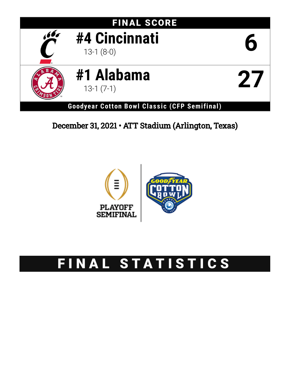

## December 31, 2021 • ATT Stadium (Arlington, Texas)



# FINAL STATISTICS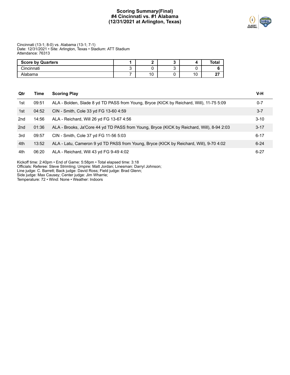## **Scoring Summary(Final) #4 Cincinnati vs. #1 Alabama (12/31/2021 at Arlington, Texas)**



Cincinnati (13-1; 8-0) vs. Alabama (13-1; 7-1) Date: 12/31/2021 • Site: Arlington, Texas • Stadium: ATT Stadium Attendance: 76313

| <b>Score by Quarters</b> |                       |    | Total  |
|--------------------------|-----------------------|----|--------|
| Cincinnati               |                       |    |        |
| Alabama                  | $\overline{A}$<br>، ب | 10 | $\sim$ |

| Qtr | Time  | <b>Scoring Play</b>                                                                       | V-H      |
|-----|-------|-------------------------------------------------------------------------------------------|----------|
| 1st | 09:51 | ALA - Bolden, Slade 8 yd TD PASS from Young, Bryce (KICK by Reichard, Will), 11-75 5:09   | $0 - 7$  |
| 1st | 04:52 | CIN - Smith, Cole 33 yd FG 13-60 4:59                                                     | $3 - 7$  |
| 2nd | 14:56 | ALA - Reichard, Will 26 yd FG 13-67 4:56                                                  | $3 - 10$ |
| 2nd | 01:36 | ALA - Brooks, Ja'Core 44 yd TD PASS from Young, Bryce (KICK by Reichard, Will), 8-94 2:03 | $3 - 17$ |
| 3rd | 09:57 | CIN - Smith, Cole 37 yd FG 11-56 5:03                                                     | $6 - 17$ |
| 4th | 13:52 | ALA - Latu, Cameron 9 yd TD PASS from Young, Bryce (KICK by Reichard, Will), 9-70 4:02    | $6 - 24$ |
| 4th | 06:20 | ALA - Reichard, Will 43 yd FG 9-49 4:02                                                   | $6 - 27$ |

Kickoff time: 2:40pm • End of Game: 5:58pm • Total elapsed time: 3:18

Officials: Referee: Steve Strimling; Umpire: Matt Jordan; Linesman: Darryl Johnson;

Line judge: C. Barrett; Back judge: David Ross; Field judge: Brad Glenn;

Side judge: Max Causey; Center judge: Jim Wharrie;

Temperature: 72 • Wind: None • Weather: Indoors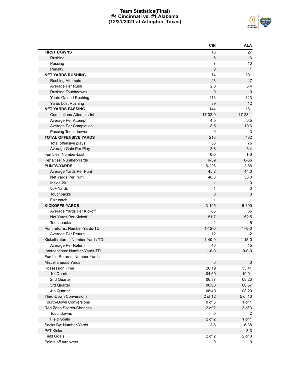## **Team Statistics(Final) #4 Cincinnati vs. #1 Alabama (12/31/2021 at Arlington, Texas)**



|                                  | <b>CIN</b>     | <b>ALA</b>    |
|----------------------------------|----------------|---------------|
| <b>FIRST DOWNS</b>               | 13             | 27            |
| Rushing                          | 6              | 16            |
| Passing                          | $\overline{7}$ | 10            |
| Penalty                          | 0              | $\mathbf{1}$  |
| <b>NET YARDS RUSHING</b>         | 74             | 301           |
| <b>Rushing Attempts</b>          | 26             | 47            |
| Average Per Rush                 | 2.8            | 6.4           |
| <b>Rushing Touchdowns</b>        | 0              | 0             |
| <b>Yards Gained Rushing</b>      | 113            | 313           |
| Yards Lost Rushing               | 39             | 12            |
| <b>NET YARDS PASSING</b>         | 144            | 181           |
| Completions-Attempts-Int         | 17-32-0        | $17 - 28 - 1$ |
| Average Per Attempt              | 4.5            | 6.5           |
| Average Per Completion           | 8.5            | 10.6          |
| Passing Touchdowns               | 0              | 3             |
| <b>TOTAL OFFENSIVE YARDS</b>     | 218            | 482           |
| Total offensive plays            | 58             | 75            |
| Average Gain Per Play            | 3.8            | 6.4           |
| Fumbles: Number-Lost             | $0-0$          | $1-0$         |
| Penalties: Number-Yards          | $6 - 39$       | $6 - 36$      |
| <b>PUNTS-YARDS</b>               | 5-226          | $2 - 88$      |
| Average Yards Per Punt           | 45.2           | 44.0          |
| Net Yards Per Punt               | 46.8           | 38.0          |
| Inside 20                        | $\mathbf{1}$   | $\mathbf 0$   |
| 50+ Yards                        | 1              | 0             |
| Touchbacks                       | 0              | 0             |
| Fair catch                       | 1              | 1             |
| <b>KICKOFFS-YARDS</b>            | $3 - 195$      | 6-390         |
| Average Yards Per Kickoff        | 65             | 65            |
| Net Yards Per Kickoff            | 51.7           | 62.5          |
| Touchbacks                       | $\overline{2}$ | 5             |
| Punt returns: Number-Yards-TD    | $1 - 12 - 0$   | $4 - 8 - 0$   |
| Average Per Return               | 12             | $-2$          |
| Kickoff returns: Number-Yards-TD | $1 - 40 - 0$   | $1 - 15 - 0$  |
| Average Per Return               | 40             | 15            |
| Interceptions: Number-Yards-TD   | $1 - 0 - 0$    | $0 - 0 - 0$   |
| Fumble Returns: Number-Yards     |                |               |
| Miscellaneous Yards              | $\pmb{0}$      | $\pmb{0}$     |
| Possession Time                  | 26:19          | 33:41         |
| 1st Quarter                      | 04:59          | 10:01         |
| 2nd Quarter                      | 06:37          | 08:23         |
| 3rd Quarter                      | 08:03          | 06:57         |
| 4th Quarter                      | 06:40          | 08:20         |
| <b>Third-Down Conversions</b>    | 2 of 12        | 5 of 13       |
| Fourth-Down Conversions          | $0$ of $3$     | 1 of 1        |
| Red Zone Scores-Chances          | 2 of 2         | 3 of 3        |
| Touchdowns                       | 0              | 2             |
| <b>Field Goals</b>               | 2 of 2         | $1$ of $1$    |
| Sacks By: Number-Yards           | $2 - 8$        | $6 - 38$      |
| <b>PAT Kicks</b>                 |                | $3-3$         |
| <b>Field Goals</b>               | 2 of 2         | 2 of 3        |
| Points off turnovers             | 0              | 0             |
|                                  |                |               |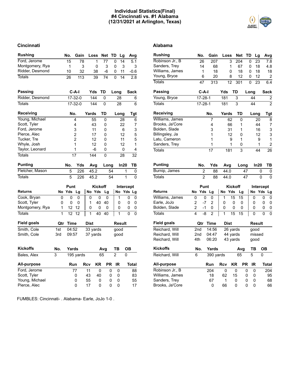## **Individual Statistics(Final) #4 Cincinnati vs. #1 Alabama (12/31/2021 at Arlington, Texas)**



## **Cincinnati Alabama**

| <b>Rushing</b>     |     | No.         | Gain            |     | Loss  |          | <b>Net</b>  | TD |      | Lg             |          | Avg            |
|--------------------|-----|-------------|-----------------|-----|-------|----------|-------------|----|------|----------------|----------|----------------|
| Ford, Jerome       |     | 15          | 78              |     |       | 1        | 77          |    | 0    | 14             |          | 5.1            |
| Montgomery, Rya    |     | 1           |                 | 3   |       | 0        | 3           |    | 0    | 3              |          | 3              |
| Ridder, Desmond    |     | 10          | 32              |     |       | 38       | -6          |    | 0    | 11             |          | $-0.6$         |
| <b>Totals</b>      |     | 26          | 113             |     |       | 39       | 74          |    | 0    | 14             |          | 2.8            |
| Passing            |     |             | C-A-I           |     | Yds   |          | TD          |    | Long |                |          | Sack           |
| Ridder, Desmond    |     |             | $17 - 32 - 0$   |     |       | 144      | 0           |    | 28   |                |          | 6              |
| <b>Totals</b>      |     |             | $17 - 32 - 0$   |     |       | 144      | 0           |    | 28   |                |          | 6              |
| Receiving          |     | No.         |                 |     | Yards |          | TD          |    | Long |                |          | Tgt            |
| Young, Michael     |     |             | 4               |     |       | 55       | 0           |    |      | 28             |          | 6              |
| Scott, Tyler       |     |             | 4               |     |       | 43       | 0           |    |      | 22             |          | 7              |
| Ford, Jerome       |     |             | 3               |     |       | 11       | 0           |    |      | 6              |          | 3              |
| Pierce, Alec       |     |             | $\overline{2}$  |     |       | 17       | 0           |    |      | 12             |          | 5              |
| Tucker, Tre        |     |             | 2               |     |       | 12       | 0           |    |      | 11             |          | 5              |
| Whyle, Josh        |     |             | 1               |     |       | 12       | 0           |    |      | 12             |          | 1              |
| Taylor, Leonard    |     |             | 1               |     |       | -6       | 0           |    |      | 0              |          | 4              |
| <b>Totals</b>      |     |             | $\overline{17}$ |     | 144   |          | 0           |    |      | 28             |          | 32             |
| Punting            |     | No.         | Yds             |     |       | Avg      | Long        |    |      | In20           |          | ΤВ             |
| Fletcher, Mason    |     | 5           | 226             |     |       | 45.2     |             | 54 |      |                | 1        | 0              |
| <b>Totals</b>      |     | 5           | 226             |     |       | 45.2     |             | 54 |      | $\overline{1}$ |          | 0              |
|                    |     | Punt        |                 |     |       | Kickoff  |             |    |      | Intercept      |          |                |
| <b>Returns</b>     | No  | Yds         | Lg              |     | No    | Yds      | Lg          |    | No   |                |          | Yds Lg         |
| Cook, Bryan        | 0   | 0           | 0               |     | 0     | 0        | $\mathbf 0$ |    | 1    |                | 0        | 0              |
| Scott, Tyler       | 0   | 0           | 0               |     | 1     | 40       | 40          |    | 0    |                | 0        | 0              |
| Montgomery, Rya    | 1   | 12          | 12              |     | 0     | 0        | 0           |    | 0    |                | 0        | 0              |
| <b>Totals</b>      | 1   | 12          | $\overline{12}$ |     | 1     | 40       | 40          |    | 1    |                | $\Omega$ | $\overline{0}$ |
| <b>Field goals</b> | Qtr | <b>Time</b> |                 |     | Dist  |          |             |    |      | Result         |          |                |
| Smith, Cole        | 1st | 04:52       |                 |     |       | 33 yards |             |    | good |                |          |                |
| Smith, Cole        | 3rd | 09:57       |                 |     |       | 37 yards |             |    | good |                |          |                |
| <b>Kickoffs</b>    | No. | Yards       |                 |     |       |          | Avg         |    | ΤВ   |                | OВ       |                |
| Bales, Alex        | 3   |             | 195 yards       |     |       |          | 65          |    | 2    |                | 0        |                |
| All-purpose        |     | Run         |                 | Rcv |       | ΚR       | <b>PR</b>   |    | ΙR   |                |          | Total          |
| Ford, Jerome       |     |             | 77              |     | 11    | 0        |             | 0  | 0    |                |          | 88             |
| Scott, Tyler       |     |             | 0               |     | 43    | 40       |             | 0  | 0    |                |          | 83             |
| Young, Michael     |     |             | 0               |     | 55    | 0        |             | 0  | 0    |                |          | 55             |
| Pierce, Alec       |     |             | 0               |     | 17    | 0        |             | 0  | 0    |                |          | 17             |

FUMBLES: Cincinnati- . Alabama- Earle, JoJo 1-0 .

| Rushing            |                | No.            | Gain                | Loss       |                       | Net            | TD        |          | Lg               | Avg                     |
|--------------------|----------------|----------------|---------------------|------------|-----------------------|----------------|-----------|----------|------------------|-------------------------|
| Robinson Jr., B    |                | 26             | 207                 |            | 3                     | 204            |           | 0        | 23               | 7.8                     |
| Sanders, Trey      |                | 14             | 68                  |            | 1                     | 67             |           | 0        | 18               | 4.8                     |
| Williams, James    |                | 1              | 18                  |            | 0                     | 18             |           | 0        | 18               | 18                      |
| Young, Bryce       |                | 6              | 20                  |            | 8                     | 12             |           | 0        | 12               | 2                       |
| Totals             |                | 47             | 313                 |            | $\overline{12}$       | 301            |           | 0        | 23               | 6.4                     |
| Passing            |                | $C-A-I$        |                     | Yds        | TD                    |                |           | Long     |                  | <b>Sack</b>             |
| Young, Bryce       |                | $17 - 28 - 1$  |                     | 181        |                       | 3              |           | 44       |                  | $\overline{\mathbf{c}}$ |
| <b>Totals</b>      |                | $17 - 28 - 1$  |                     | 181        |                       | $\overline{3}$ |           | 44       |                  | $\overline{2}$          |
| Receiving          |                |                | No.                 | Yards      |                       | TD             |           | Long     |                  | Tgt                     |
| Williams, James    |                |                | 7                   |            | 62                    | 0              |           |          | 20               | 8                       |
| Brooks, Ja'Core    |                |                | 4                   |            | 66                    | 1              |           |          | 44               | 7                       |
| Bolden, Slade      |                |                | 3                   |            | 31                    | 1              |           |          | 16               | 3                       |
| Billingsley, Ja    |                |                | 1                   |            | 12                    | 0              |           |          | 12               | 3                       |
| Latu, Cameron      |                |                | 1                   |            | 9                     | 1              |           |          | 9                | $\mathbf{1}$            |
| Sanders, Trey      |                |                | 1                   |            | 1                     | 0              |           |          | 1                | $\overline{\mathbf{c}}$ |
| Totals             |                |                | 17                  |            | 181                   | 3              |           |          | 44               | 26                      |
| Punting            |                | No.            | Yds                 | Avg        |                       | Long           |           |          | In20             | TB                      |
| Burnip, James      |                | 2              | 88                  | 44.0       |                       |                | 47        |          | 0                | 0                       |
| Totals             |                | $\overline{2}$ | 88                  | 44.0       |                       |                | 47        |          | 0                | 0                       |
|                    |                |                |                     |            |                       |                |           |          |                  |                         |
| Returns            | No             | Punt<br>Yds    | Lg                  | No         | <b>Kickoff</b><br>Yds | Lg             |           | No       | Intercept<br>Yds | Lg                      |
| Williams, James    | 0              | 0              | 0                   | 1          | 15                    | 15             |           | 0        | 0                | 0                       |
| Earle, JoJo        | 2              | $-7$           | 2                   | 0          | 0                     | 0              |           | 0        | 0                |                         |
| Bolden, Slade      | $\overline{2}$ | $-1$           |                     |            |                       |                |           | 0        |                  | 0                       |
| Totals             | 4              | -8             | 0<br>$\overline{2}$ | 0<br>1     | 0<br>15               | 0<br>15        |           | 0        | 0<br>0           | 0<br>0                  |
|                    |                |                |                     |            |                       |                |           |          |                  |                         |
| <b>Field goals</b> |                | Qtr            | Time                |            | Dist                  |                |           |          | Result           |                         |
| Reichard, Will     |                | 2nd            | 14:56               |            | 26 yards              |                |           | good     |                  |                         |
| Reichard, Will     |                | 2nd            | 04:47               |            | 44 yards              |                |           |          | missed           |                         |
| Reichard, Will     | 4th            |                | 06:20               |            | 43 yards              |                |           | good     |                  |                         |
| Kickoffs           |                | No.            | Yards               |            |                       | Avg            |           | ΤВ       |                  | <b>OB</b>               |
| Reichard, Will     | 6              |                | 390 yards           |            |                       | 65             |           | 5        | 0                |                         |
| All-purpose        |                |                | Run                 | <b>Rcv</b> | KR                    |                | <b>PR</b> | ΙR       |                  | <b>Total</b>            |
| Robinson Jr., B    |                |                | 204                 | 0          | 0                     |                | 0         | 0        |                  | $\overline{204}$        |
| Williams, James    |                |                | 18                  | 62         | 15                    |                | 0         | 0        |                  | 95                      |
| Sanders, Trey      |                |                | 67                  | 1          | 0                     |                | 0         | 0        |                  | 68                      |
| Brooks, Ja'Core    |                |                | 0                   | 66         | 0                     |                | 0         | $\Omega$ |                  | 66                      |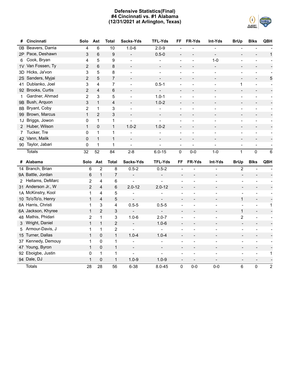## **Defensive Statistics(Final) #4 Cincinnati vs. #1 Alabama (12/31/2021 at Arlington, Texas)**



| #              | Cincinnati         | Solo                    | Ast                     | <b>Total</b>   | Sacks-Yds                | <b>TFL-Yds</b>               | FF                           | FR-Yds                   | Int-Yds                  | <b>BrUp</b>              | <b>Blks</b>              | QBH                      |
|----------------|--------------------|-------------------------|-------------------------|----------------|--------------------------|------------------------------|------------------------------|--------------------------|--------------------------|--------------------------|--------------------------|--------------------------|
| 0B             | Beavers, Darria    | 4                       | 6                       | 10             | $1.0 - 6$                | $2.0 - 9$                    |                              |                          |                          |                          |                          |                          |
|                | 2P Pace, Deshawn   | 3                       | $\,6$                   | 9              | $\overline{a}$           | $0.5 - 0$                    | $\overline{\phantom{a}}$     |                          | $\blacksquare$           | $\overline{a}$           |                          | $\mathbf{1}$             |
| 6              | Cook, Bryan        | 4                       | 5                       | 9              | $\blacksquare$           | $\blacksquare$               | $\blacksquare$               | $\blacksquare$           | $1 - 0$                  | $\overline{a}$           | $\blacksquare$           | $\blacksquare$           |
| 1 <sub>V</sub> | Van Fossen, Ty     | $\overline{c}$          | 6                       | 8              | $\mathbf{r}$             | $\blacksquare$               |                              |                          |                          | $\overline{a}$           |                          |                          |
| 3D             | Hicks, Ja'von      | 3                       | 5                       | 8              | ÷                        | $\qquad \qquad \blacksquare$ | ÷                            |                          |                          | ÷                        |                          |                          |
| 2S             | Sanders, Myjai     | $\overline{2}$          | 5                       | $\overline{7}$ | $\overline{\phantom{a}}$ | $\overline{\phantom{a}}$     | $\overline{\phantom{a}}$     |                          |                          | $\frac{1}{2}$            |                          | 5                        |
| 41             | Dublanko, Joel     | 3                       | 4                       | $\overline{7}$ | $\overline{a}$           | $0.5 - 1$                    | $\overline{a}$               |                          |                          | $\mathbf{1}$             | $\blacksquare$           | $\blacksquare$           |
|                | 92 Brooks, Curtis  | $\overline{\mathbf{c}}$ | $\overline{\mathbf{4}}$ | 6              | $\blacksquare$           | $\overline{\phantom{a}}$     | $\overline{\phantom{a}}$     |                          |                          | $\overline{a}$           |                          |                          |
| 1              | Gardner, Ahmad     | $\overline{c}$          | 3                       | 5              |                          | $1.0 - 1$                    |                              |                          |                          | L                        |                          | $\blacksquare$           |
| 9B             | Bush, Arquon       | 3                       | $\mathbf{1}$            | 4              | $\overline{\phantom{a}}$ | $1.0 - 2$                    |                              |                          |                          | L,                       |                          |                          |
| 8Β             | Bryant, Coby       | $\overline{2}$          | 1                       | 3              |                          | $\overline{\phantom{0}}$     | $\overline{a}$               |                          |                          | $\overline{a}$           |                          | $\overline{\phantom{a}}$ |
| 99             | Brown, Marcus      | $\mathbf{1}$            | $\overline{2}$          | 3              | $\overline{\phantom{a}}$ | $\overline{\phantom{a}}$     |                              |                          |                          | $\overline{a}$           | $\overline{\phantom{m}}$ | $\blacksquare$           |
| 1J             | Briggs, Jowon      | 0                       | $\mathbf 1$             | 1              | $\overline{a}$           | $\overline{a}$               | $\overline{a}$               | $\overline{a}$           |                          | $\overline{a}$           |                          | $\overline{\phantom{a}}$ |
| $\overline{2}$ | Huber, Wilson      | $\mathbf{1}$            | $\mathbf 0$             | $\mathbf{1}$   | $1.0 - 2$                | $1.0 - 2$                    | $\overline{\phantom{a}}$     |                          |                          | $\overline{a}$           | $\overline{\phantom{a}}$ | ÷,                       |
| 7              | Tucker, Tre        | 0                       | $\mathbf 1$             | 1              |                          | $\overline{\phantom{0}}$     | ÷                            | $\overline{a}$           | $\blacksquare$           | ÷                        | $\overline{\phantom{0}}$ | $\overline{\phantom{a}}$ |
| 42             | Vann, Malik        | 0                       | $\mathbf{1}$            | $\mathbf{1}$   | $\overline{\phantom{a}}$ | $\blacksquare$               | $\overline{\phantom{a}}$     |                          | $\blacksquare$           | $\overline{a}$           | $\overline{\phantom{0}}$ | $\overline{\phantom{a}}$ |
| 90             | Taylor, Jabari     | $\mathbf 0$             | $\mathbf{1}$            | 1              | $\overline{a}$           | $\overline{\phantom{0}}$     | $\overline{\phantom{a}}$     | $\overline{a}$           | $\overline{\phantom{a}}$ | $\overline{\phantom{0}}$ | $\overline{a}$           | $\overline{\phantom{a}}$ |
|                | <b>Totals</b>      | 32                      | 52                      | 84             | $2 - 8$                  | $6.0 - 15$                   | $\mathbf 0$                  | $0-0$                    | $1 - 0$                  | $\mathbf{1}$             | 0                        | 6                        |
|                |                    |                         |                         |                |                          |                              |                              |                          |                          |                          |                          |                          |
|                | # Alabama          | Solo                    | Ast                     | Total          | Sacks-Yds                | <b>TFL-Yds</b>               | FF                           | FR-Yds                   | Int-Yds                  | <b>BrUp</b>              | <b>Blks</b>              | QBH                      |
|                | 14 Branch, Brian   | 6                       | $\mathbf 2$             | 8              | $0.5 - 2$                | $0.5 - 2$                    | $\blacksquare$               |                          | $\blacksquare$           | $\overline{2}$           |                          |                          |
|                | 9A Battle, Jordan  | 6                       | $\mathbf{1}$            | $\overline{7}$ | $\overline{a}$           | $\overline{a}$               | $\qquad \qquad \blacksquare$ |                          | $\overline{\phantom{a}}$ |                          |                          |                          |
| $\mathbf{2}$   | Hellams, DeMarc    | $\overline{c}$          | 4                       | 6              | $\overline{a}$           | $\overline{\phantom{0}}$     | ÷                            |                          | $\overline{a}$           | $\overline{\phantom{a}}$ |                          |                          |
|                | 31 Anderson Jr., W | $\overline{2}$          | $\overline{\mathbf{4}}$ | 6              | $2.0 - 12$               | $2.0 - 12$                   | $\qquad \qquad -$            |                          |                          | $\overline{a}$           |                          |                          |
|                | 1A McKinstry, Kool | 1                       | $\overline{4}$          | 5              | $\overline{a}$           | $\blacksquare$               | $\overline{\phantom{a}}$     | $\overline{a}$           | $\overline{\phantom{a}}$ | $\blacksquare$           | $\overline{\phantom{a}}$ |                          |
|                | 10 To'oTo'o, Henry | $\mathbf{1}$            | $\overline{\mathbf{4}}$ | 5              | $\overline{a}$           | $\blacksquare$               | $\overline{\phantom{a}}$     | $\overline{a}$           | $\overline{\phantom{a}}$ | $\mathbf{1}$             | $\overline{\phantom{a}}$ |                          |
|                | 8A Harris, Christi | 1                       | 3                       | 4              | $0.5 - 5$                | $0.5 - 5$                    | $\overline{\phantom{a}}$     | $\overline{a}$           | $\blacksquare$           | $\overline{a}$           | $\blacksquare$           | 1                        |
|                | 6A Jackson, Khyree | $\mathbf{1}$            | $\overline{2}$          | 3              | $\blacksquare$           | $\overline{\phantom{a}}$     | $\blacksquare$               | $\blacksquare$           | $\overline{\phantom{a}}$ | $\mathbf{1}$             | $\blacksquare$           |                          |
|                | 48 Mathis, Phidari | $\overline{c}$          | $\mathbf{1}$            | 3              | $1.0 - 6$                | $2.0 - 7$                    | $\blacksquare$               | $\overline{a}$           | $\overline{a}$           | 2                        | $\blacksquare$           | $\blacksquare$           |
| 3              | Wright, Daniel     | $\mathbf{1}$            | $\mathbf{1}$            | $\overline{2}$ | $\frac{1}{2}$            | $1.0 - 6$                    | $\overline{\phantom{a}}$     | $\overline{\phantom{a}}$ | $\overline{\phantom{a}}$ | $\overline{\phantom{a}}$ | $\overline{\phantom{a}}$ | $\overline{\phantom{a}}$ |
| 5              | Armour-Davis, J    | $\mathbf{1}$            | $\mathbf 1$             | 2              | $\overline{a}$           | $\overline{\phantom{a}}$     |                              | ÷                        |                          | $\overline{\phantom{a}}$ |                          |                          |
| 15             | Turner, Dallas     | $\mathbf{1}$            | 0                       | $\mathbf{1}$   | $1.0 - 4$                | $1.0 - 4$                    | $\overline{\phantom{a}}$     | $\overline{\phantom{a}}$ | $\overline{\phantom{a}}$ | $\overline{\phantom{a}}$ | $\overline{\phantom{a}}$ | $\frac{1}{2}$            |
|                | 37 Kennedy, Demouy | 1                       | 0                       | $\mathbf{1}$   |                          | $\overline{\phantom{a}}$     | ÷                            |                          |                          | -                        | $\overline{a}$           | $\overline{\phantom{a}}$ |
| 47             | Young, Byron       | $\mathbf{1}$            | $\mathbf 0$             | $\mathbf{1}$   | $\qquad \qquad -$        | $\overline{\phantom{a}}$     | $\overline{\phantom{a}}$     | $\overline{\phantom{a}}$ | $\overline{\phantom{a}}$ | $\overline{\phantom{a}}$ | $\overline{\phantom{a}}$ | $\overline{a}$           |
| 92             | Eboigbe, Justin    | 0                       | $\mathbf{1}$            | 1              | $\overline{a}$           |                              |                              |                          |                          |                          |                          | 1                        |
|                | 94 Dale, DJ        | $\mathbf{1}$            | $\mathbf 0$             | $\mathbf{1}$   | $1.0 - 9$                | $1.0 - 9$                    | $\overline{\phantom{a}}$     | $\overline{\phantom{a}}$ | $\overline{\phantom{a}}$ | $\overline{\phantom{a}}$ | $\overline{\phantom{a}}$ |                          |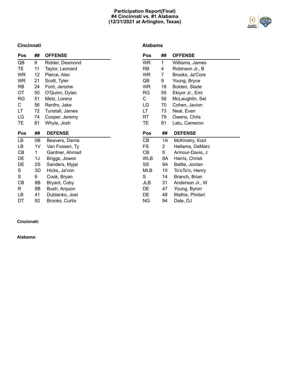## **Participation Report(Final) #4 Cincinnati vs. #1 Alabama (12/31/2021 at Arlington, Texas)**



## **Cincinnati**

## **Alabama**

| Pos       | ##             | <b>OFFENSE</b>  | Pos        | ##             | <b>OFFENSE</b>  |
|-----------|----------------|-----------------|------------|----------------|-----------------|
| QB        | 9              | Ridder, Desmond | <b>WR</b>  | $\mathbf{1}$   | Williams, James |
| TE.       | 11             | Taylor, Leonard | RB         | 4              | Robinson Jr., B |
| <b>WR</b> | 12             | Pierce, Alec    | <b>WR</b>  | 7              | Brooks, Ja'Core |
| <b>WR</b> | 21             | Scott, Tyler    | QB         | 9              | Young, Bryce    |
| <b>RB</b> | 24             | Ford, Jerome    | <b>WR</b>  | 18             | Bolden, Slade   |
| OT        | 50             | O'Quinn, Dylan  | RG         | 55             | Ekiyor Jr., Emi |
| <b>RG</b> | 51             | Metz, Lorenz    | C          | 56             | McLaughlin, Set |
| C         | 56             | Renfro, Jake    | LG         | 70             | Cohen, Javion   |
| LT.       | 72             | Tunstall, James | LT         | 73             | Neal, Evan      |
| LG        | 74             | Cooper, Jeremy  | RT         | 79             | Owens, Chris    |
| TE.       | 81             | Whyle, Josh     | TE.        | 81             | Latu, Cameron   |
| Pos       | ##             | <b>DEFENSE</b>  | <b>Pos</b> | ##             | <b>DEFENSE</b>  |
| LB        | 0B             | Beavers, Darria | CB         | 1A             | McKinstry, Kool |
| LB        | 1 <sub>V</sub> | Van Fossen, Ty  | FS.        | $\overline{2}$ | Hellams, DeMarc |
| CВ        | 1              | Gardner, Ahmad  | CВ         | 5              | Armour-Davis, J |
| DE        | 1J             | Briggs, Jowon   | <b>WLB</b> | 8A             | Harris, Christi |
| DE        |                |                 |            |                |                 |
|           | 2S             | Sanders, Myjai  | SS         | 9A             | Battle, Jordan  |
| S         | 3D             | Hicks, Ja'von   | MLB        | 10             | To'oTo'o, Henry |
| S         | 6              | Cook, Bryan     | S          | 14             | Branch, Brian   |
| CВ        | 8B             | Bryant, Coby    | JLB        | 31             | Anderson Jr., W |
| R         | 9Β             | Bush, Arquon    | DE         | 47             | Young, Byron    |
| LB        | 41             | Dublanko, Joel  | DE         | 48             | Mathis, Phidari |

## **Cincinnati:**

**Alabama:**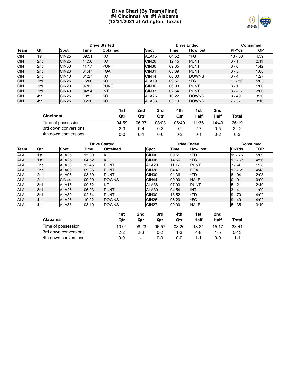## **Drive Chart (By Team)(Final) #4 Cincinnati vs. #1 Alabama (12/31/2021 at Arlington, Texas)**



|            |                 |                   |       | <b>Drive Started</b> |                   | <b>Drive Ended</b> |                 | Consumed      |            |
|------------|-----------------|-------------------|-------|----------------------|-------------------|--------------------|-----------------|---------------|------------|
| Team       | Qtr             | <b>Spot</b>       | Time  | <b>Obtained</b>      | <b>Spot</b>       | Time               | <b>How lost</b> | <b>PI-Yds</b> | <b>TOP</b> |
| <b>CIN</b> | 1st             | <b>CIN25</b>      | 09:51 | KO                   | ALA <sub>15</sub> | 04:52              | *FG             | $13 - 60$     | 4:59       |
| <b>CIN</b> | 2 <sub>nd</sub> | <b>CIN25</b>      | 14:56 | KO.                  | CIN <sub>26</sub> | 12:45              | <b>PUNT</b>     | $3 - 1$       | 2:11       |
| <b>CIN</b> | 2 <sub>nd</sub> | CIN <sub>30</sub> | 11:17 | <b>PUNT</b>          | CIN <sub>36</sub> | 09:35              | <b>PUNT</b>     | $3 - 6$       | 1:42       |
| <b>CIN</b> | 2 <sub>nd</sub> | CIN <sub>26</sub> | 04:47 | <b>FGA</b>           | CIN <sub>31</sub> | 03:39              | <b>PUNT</b>     | $3 - 5$       | 1:08       |
| <b>CIN</b> | 2 <sub>nd</sub> | CIN <sub>40</sub> | 01:27 | KO                   | CIN44             | 00:00              | <b>DOWNS</b>    | $6 - 4$       | 1:27       |
| <b>CIN</b> | 3rd             | <b>CIN25</b>      | 15:00 | KO                   | ALA <sub>19</sub> | 09:57              | *FG             | 11 - 56       | 5:03       |
| <b>CIN</b> | 3rd             | CIN <sub>29</sub> | 07:03 | <b>PUNT</b>          | CIN <sub>30</sub> | 06:03              | <b>PUNT</b>     | $3 - 1$       | 1:00       |
| <b>CIN</b> | 3rd             | CIN <sub>49</sub> | 04:54 | <b>INT</b>           | CIN <sub>33</sub> | 02:54              | <b>PUNT</b>     | $3 - -16$     | 2:00       |
| <b>CIN</b> | 4th             | CIN <sub>25</sub> | 13:52 | KO                   | ALA26             | 10:22              | <b>DOWNS</b>    | $8 - 49$      | 3:30       |
| <b>CIN</b> | 4th             | CIN <sub>25</sub> | 06:20 | KO                   | ALA38             | 03:10              | <b>DOWNS</b>    | $7 - 37$      | 3:10       |

|                      | 1st     | 2nd   | 3rd     | 4th   | 1st   | 2nd   |          |
|----------------------|---------|-------|---------|-------|-------|-------|----------|
| <b>Cincinnati</b>    | Qtr     | Qtr   | Qtr     | Qtr   | Half  | Half  | Total    |
| Time of possession   | 04:59   | 06:37 | 08:03   | 06:40 | 11:36 | 14:43 | 26:19    |
| 3rd down conversions | $2 - 3$ | 0-4   | $0 - 3$ | 0-2   | 2-7   | 0-5   | $2 - 12$ |
| 4th down conversions | ი-ი     | 0-1   | 0-0     | 0-2   | በ-1   | 0-2   | 0-3      |

|            |                 |                   |       | <b>Drive Started</b> | <b>Drive Ended</b> |                   |       |                 | <b>Consumed</b> |               |            |
|------------|-----------------|-------------------|-------|----------------------|--------------------|-------------------|-------|-----------------|-----------------|---------------|------------|
| Team       | Qtr             | Spot              | Time  | <b>Obtained</b>      |                    | <b>Spot</b>       | Time  | <b>How lost</b> |                 | <b>PI-Yds</b> | <b>TOP</b> |
| <b>ALA</b> | 1st             | ALA <sub>25</sub> | 15:00 | KO                   |                    | CIN <sub>00</sub> | 09:51 | *TD             |                 | $11 - 75$     | 5:09       |
| <b>ALA</b> | 1st             | ALA <sub>25</sub> | 04:52 | KO                   |                    | CIN <sub>08</sub> | 14:56 | *FG             |                 | $13 - 67$     | 4:56       |
| <b>ALA</b> | 2 <sub>nd</sub> | ALA33             | 12:45 | <b>PUNT</b>          |                    | ALA29             | 11:17 | <b>PUNT</b>     |                 | $3 - -4$      | 1:28       |
| <b>ALA</b> | 2 <sub>nd</sub> | ALA09             | 09:35 | <b>PUNT</b>          |                    | CIN <sub>26</sub> | 04:47 | <b>FGA</b>      |                 | $12 - 65$     | 4:48       |
| <b>ALA</b> | 2 <sub>nd</sub> | ALA06             | 03:39 | <b>PUNT</b>          |                    | CIN <sub>00</sub> | 01:36 | *TD             |                 | $8 - 94$      | 2:03       |
| <b>ALA</b> | 2 <sub>nd</sub> | ICIN44            | 00:00 | <b>DOWNS</b>         |                    | CIN44             | 00:00 | <b>HALF</b>     |                 | $0 - 0$       | 0:00       |
| <b>ALA</b> | 3rd             | ALA <sub>15</sub> | 09:52 | KO.                  |                    | ALA36             | 07:03 | <b>PUNT</b>     |                 | $5 - 21$      | 2:49       |
| <b>ALA</b> | 3rd             | ALA <sub>26</sub> | 06:03 | <b>PUNT</b>          |                    | ALA30             | 04:54 | <b>INT</b>      |                 | $ 3 - 4 $     | 1:09       |
| <b>ALA</b> | 3rd             | ALA30             | 02:54 | <b>PUNT</b>          |                    | CIN <sub>00</sub> | 13:52 | *TD             |                 | $9 - 70$      | 4:02       |
| <b>ALA</b> | 4th             | ALA <sub>26</sub> | 10:22 | <b>DOWNS</b>         |                    | CIN <sub>25</sub> | 06:20 | *FG             |                 | $9 - 49$      | 4:02       |
| <b>ALA</b> | 4th             | ALA38             | 03:10 | <b>DOWNS</b>         |                    | CIN <sub>27</sub> | 00:00 | <b>HALF</b>     |                 | $5 - 35$      | 3:10       |
|            |                 |                   |       | 1st                  | 2nd                | 3rd               | 4th   | 1st             | 2nd             |               |            |

|                      | 13 L    | 20 I.   | งเน     | -     | 13 L  | 20 I. |        |
|----------------------|---------|---------|---------|-------|-------|-------|--------|
| <b>Alabama</b>       | Qtr     | Qtr     | Qtr     | Qtr   | Half  | Half  | Total  |
| Time of possession   | 10:01   | 08:23   | 06:57   | 08:20 | 18:24 | 15:17 | 33:41  |
| 3rd down conversions | $2 - 2$ | 2-6     | $0 - 2$ | 1-3   | 4-8   | $1-5$ | $5-13$ |
| 4th down conversions | ი-ი     | $1 - 1$ | 0-0     | 0-0   |       | ი-ი   | 1-1    |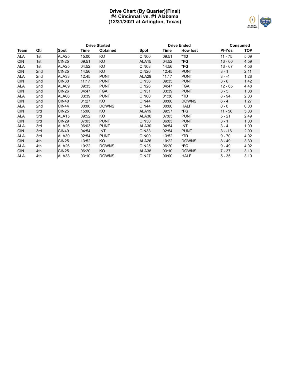## **Drive Chart (By Quarter)(Final) #4 Cincinnati vs. #1 Alabama (12/31/2021 at Arlington, Texas)**



|            | <b>Drive Started</b> |                   |       |                 |                   |       | <b>Drive Ended</b> | <b>Consumed</b> |      |
|------------|----------------------|-------------------|-------|-----------------|-------------------|-------|--------------------|-----------------|------|
| Team       | Qtr                  | <b>Spot</b>       | Time  | <b>Obtained</b> | <b>Spot</b>       | Time  | <b>How lost</b>    | <b>PI-Yds</b>   | TOP  |
| <b>ALA</b> | 1st                  | ALA <sub>25</sub> | 15:00 | KO              | CIN <sub>00</sub> | 09:51 | *TD                | $11 - 75$       | 5:09 |
| <b>CIN</b> | 1st                  | <b>CIN25</b>      | 09:51 | KO              | ALA <sub>15</sub> | 04:52 | *FG                | $13 - 60$       | 4:59 |
| <b>ALA</b> | 1st                  | ALA <sub>25</sub> | 04:52 | KO              | CIN <sub>08</sub> | 14:56 | *FG                | $13 - 67$       | 4:56 |
| <b>CIN</b> | 2nd                  | <b>CIN25</b>      | 14:56 | KO              | <b>CIN26</b>      | 12:45 | <b>PUNT</b>        | $3 - 1$         | 2:11 |
| <b>ALA</b> | 2nd                  | ALA33             | 12:45 | <b>PUNT</b>     | ALA29             | 11:17 | <b>PUNT</b>        | $3 - -4$        | 1:28 |
| <b>CIN</b> | 2nd                  | <b>CIN30</b>      | 11:17 | <b>PUNT</b>     | CIN <sub>36</sub> | 09:35 | <b>PUNT</b>        | $3 - 6$         | 1:42 |
| <b>ALA</b> | 2nd                  | ALA09             | 09:35 | <b>PUNT</b>     | CIN <sub>26</sub> | 04:47 | <b>FGA</b>         | $12 - 65$       | 4:48 |
| <b>CIN</b> | 2nd                  | <b>CIN26</b>      | 04:47 | <b>FGA</b>      | <b>CIN31</b>      | 03:39 | <b>PUNT</b>        | $3 - 5$         | 1:08 |
| ALA        | 2nd                  | ALA06             | 03:39 | <b>PUNT</b>     | CIN <sub>00</sub> | 01:36 | *TD                | $8 - 94$        | 2:03 |
| <b>CIN</b> | 2 <sub>nd</sub>      | <b>CIN40</b>      | 01:27 | KO.             | <b>CIN44</b>      | 00:00 | <b>DOWNS</b>       | $6 - 4$         | 1:27 |
| <b>ALA</b> | 2nd                  | <b>CIN44</b>      | 00:00 | <b>DOWNS</b>    | <b>CIN44</b>      | 00:00 | <b>HALF</b>        | $0 - 0$         | 0:00 |
| <b>CIN</b> | 3rd                  | <b>CIN25</b>      | 15:00 | KO              | ALA <sub>19</sub> | 09:57 | *FG                | $11 - 56$       | 5:03 |
| <b>ALA</b> | 3rd                  | ALA <sub>15</sub> | 09:52 | KO.             | ALA36             | 07:03 | <b>PUNT</b>        | $5 - 21$        | 2:49 |
| <b>CIN</b> | 3rd                  | <b>CIN29</b>      | 07:03 | <b>PUNT</b>     | <b>CIN30</b>      | 06:03 | <b>PUNT</b>        | $3 - 1$         | 1:00 |
| <b>ALA</b> | 3rd                  | ALA26             | 06:03 | <b>PUNT</b>     | ALA30             | 04:54 | INT                | $3 - 4$         | 1:09 |
| <b>CIN</b> | 3rd                  | <b>CIN49</b>      | 04:54 | <b>INT</b>      | CIN <sub>33</sub> | 02:54 | <b>PUNT</b>        | $3 - -16$       | 2:00 |
| ALA        | 3rd                  | ALA30             | 02:54 | <b>PUNT</b>     | CIN <sub>00</sub> | 13:52 | *TD                | $9 - 70$        | 4:02 |
| <b>CIN</b> | 4th                  | <b>CIN25</b>      | 13:52 | KO              | ALA26             | 10:22 | <b>DOWNS</b>       | $8 - 49$        | 3:30 |
| <b>ALA</b> | 4th                  | ALA26             | 10:22 | <b>DOWNS</b>    | <b>CIN25</b>      | 06:20 | *FG                | $9 - 49$        | 4:02 |
| <b>CIN</b> | 4th                  | <b>CIN25</b>      | 06:20 | KO.             | ALA38             | 03:10 | <b>DOWNS</b>       | $7 - 37$        | 3:10 |
| <b>ALA</b> | 4th                  | ALA38             | 03:10 | <b>DOWNS</b>    | <b>CIN27</b>      | 00:00 | <b>HALF</b>        | $5 - 35$        | 3:10 |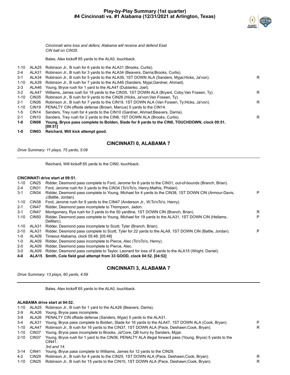

*Cincinnati wins toss and defers; Alabama will receive and defend East CIN ball on CIN35.*

Bales, Alex kickoff 65 yards to the ALA0, touchback.

- 1-10 ALA25 Robinson Jr., B rush for 6 yards to the ALA31 (Brooks, Curtis).
- 2-4 ALA31 Robinson Jr., B rush for 3 yards to the ALA34 (Beavers, Darria;Brooks, Curtis). 3-1 ALA34 Robinson Jr., B rush for 5 yards to the ALA39, 1ST DOWN ALA (Sanders, Myjai;Hicks, Ja'von). R 1-10 ALA39 Robinson Jr., B rush for 7 yards to the ALA46 (Sanders, Myjai;Gardner, Ahmad). 2-3 ALA46 Young, Bryce rush for 1 yard to the ALA47 (Dublanko, Joel). 3-2 ALA47 Williams, James rush for 18 yards to the CIN35, 1ST DOWN ALA (Bryant, Coby;Van Fossen, Ty). 1-10 CIN35 Robinson Jr., B rush for 9 yards to the CIN26 (Hicks, Ja'von; Van Fossen, Ty). 2-1 CIN26 Robinson Jr., B rush for 7 yards to the CIN19, 1ST DOWN ALA (Van Fossen, Ty;Hicks, Ja'von). R 1-10 CIN19 PENALTY CIN offside defense (Brown, Marcus) 5 yards to the CIN14. 1-5 CIN14 Sanders, Trey rush for 4 yards to the CIN10 (Gardner, Ahmad;Beavers, Darria). 2-1 CIN10 Sanders, Trey rush for 2 yards to the CIN8, 1ST DOWN ALA (Brooks, Curtis). **1-0 CIN08 Young, Bryce pass complete to Bolden, Slade for 8 yards to the CIN0, TOUCHDOWN, clock 09:51. [09:51]**
- **1-0 CIN03 Reichard, Will kick attempt good.**

## **CINCINNATI 0, ALABAMA 7**

*Drive Summary: 11 plays, 75 yards, 5:09*

Reichard, Will kickoff 65 yards to the CIN0, touchback.

#### **CINCINNATI drive start at 09:51.**

| 1-10     | CIN <sub>25</sub> | Ridder, Desmond pass complete to Ford, Jerome for 6 yards to the CIN31, out-of-bounds (Branch, Brian).                      |   |
|----------|-------------------|-----------------------------------------------------------------------------------------------------------------------------|---|
| $2 - 4$  | CIN <sub>31</sub> | Ford, Jerome rush for 3 yards to the CIN34 (To'oTo'o, Henry:Mathis, Phidari).                                               |   |
| $3 - 1$  | CIN <sub>34</sub> | Ridder, Desmond pass complete to Young, Michael for 4 yards to the CIN38, 1ST DOWN CIN (Armour-Davis,<br>J;Battle, Jordan). | P |
| $1 - 10$ | CIN <sub>38</sub> | Ford, Jerome rush for 9 yards to the CIN47 (Anderson Jr., W:To'oTo'o, Henry).                                               |   |
| $2 - 1$  | CIN <sub>47</sub> | Ridder, Desmond pass incomplete to Thompson, Jadon.                                                                         |   |
| $3-1$    | CIN47             | Montgomery, Rya rush for 3 yards to the 50 yardline, 1ST DOWN CIN (Branch, Brian).                                          | R |
| $1 - 10$ | CIN50             | Ridder, Desmond pass complete to Young, Michael for 19 yards to the ALA31, 1ST DOWN CIN (Hellams,<br>DeMarc).               | P |
| $1 - 10$ | ALA31             | Ridder, Desmond pass incomplete to Scott, Tyler (Branch, Brian).                                                            |   |
| $2 - 10$ | ALA31             | Ridder, Desmond pass complete to Scott, Tyler for 22 yards to the ALA9, 1ST DOWN CIN (Battle, Jordan).                      | P |
| $1-0$    | ALA09             | Timeout Alabama, clock 05:48, [05:48]                                                                                       |   |
| 1-0      | ALA09             | Ridder, Desmond pass incomplete to Pierce, Alec (To'oTo'o, Henry).                                                          |   |
| $2 - 0$  | ALA09             | Ridder, Desmond pass incomplete to Pierce, Alec.                                                                            |   |
|          |                   |                                                                                                                             |   |

3-0 ALA09 Ridder, Desmond pass complete to Taylor, Leonard for loss of 6 yards to the ALA15 (Wright, Daniel).

**4-0 ALA15 Smith, Cole field goal attempt from 33 GOOD, clock 04:52. [04:52]**

## **CINCINNATI 3, ALABAMA 7**

*Drive Summary: 13 plays, 60 yards, 4:59*

Bales, Alex kickoff 65 yards to the ALA0, touchback.

#### **ALABAMA drive start at 04:52.**

|          |                   | 1-10 ALA25 Robinson Jr., B rush for 1 yard to the ALA26 (Beavers, Darria).                                          |   |
|----------|-------------------|---------------------------------------------------------------------------------------------------------------------|---|
| $2-9$    | ALA26             | Young, Bryce pass incomplete.                                                                                       |   |
| $3-9$    | ALA26             | PENALTY CIN offside defense (Sanders, Myiai) 5 yards to the ALA31.                                                  |   |
| $3-4$    | ALA31             | Young, Bryce pass complete to Bolden, Slade for 16 yards to the ALA47, 1ST DOWN ALA (Cook, Bryan).                  | P |
| 1-10     | ALA47             | Robinson Jr., B rush for 16 yards to the CIN37, 1ST DOWN ALA (Pace, Deshawn;Cook, Bryan).                           | R |
| 1-10     | CIN37             | Young, Bryce pass incomplete to Brooks, Ja'Core, QB hurry by Sanders, Myjai.                                        |   |
| $2 - 10$ | CIN37             | Young, Bryce rush for 1 yard to the CIN36, PENALTY ALA illegal forward pass (Young, Bryce) 5 yards to the<br>CIN41. |   |
|          |                   | 3rd and 14.                                                                                                         |   |
| $3 - 14$ | CIN41             | Young, Bryce pass complete to Williams, James for 12 yards to the CIN29.                                            |   |
| $4 - 2$  | CIN <sub>29</sub> | Robinson Jr., B rush for 4 yards to the CIN25, 1ST DOWN ALA (Pace, Deshawn;Cook, Bryan).                            | R |
|          | $1.10$ $CINDE$    | Bobinson It. B rush for 15 yerds to the CIN10, 18T DOMALALA (Base, Deshawn:Cook, Bruan)                             |   |

Robinson Jr., B rush for 15 yards to the CIN10, 1ST DOWN ALA (Pace, Deshawn;Cook, Bryan).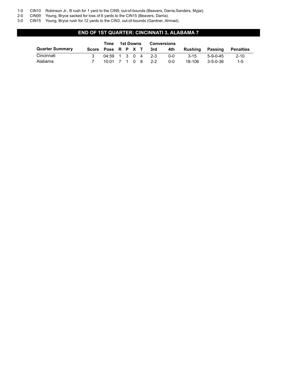- 1-0 CIN10 Robinson Jr., B rush for 1 yard to the CIN9, out-of-bounds (Beavers, Darria;Sanders, Myjai).
- 2-0 CIN09 Young, Bryce sacked for loss of 6 yards to the CIN15 (Beavers, Darria).

3-0 CIN15 Young, Bryce rush for 12 yards to the CIN3, out-of-bounds (Gardner, Ahmad).

## **END OF 1ST QUARTER: CINCINNATI 3, ALABAMA 7**

|                        | Time | 1st Downs           |  |  | <b>Conversions</b> |     |         |          |            |           |
|------------------------|------|---------------------|--|--|--------------------|-----|---------|----------|------------|-----------|
| <b>Quarter Summary</b> |      | Score Poss R P X T  |  |  |                    | 3rd | 4th     | Rushina  | Passing    | Penalties |
| Cincinnati             |      | $04:59$ 1 3 0 4 2-3 |  |  |                    |     | 0-0     | $3 - 15$ | $5-9-0-45$ | $2 - 10$  |
| Alabama                |      | 10:01 7 1 0 8 2-2   |  |  |                    |     | $0 - 0$ | 18-106   | 3-5-0-36   | $1 - 5$   |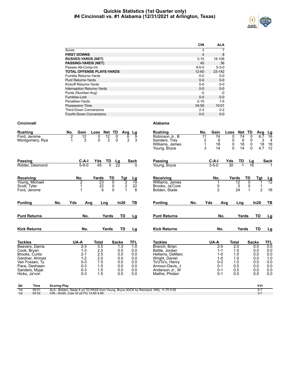## **Quickie Statistics (1st Quarter only) #4 Cincinnati vs. #1 Alabama (12/31/2021 at Arlington, Texas)**



|                                   | <b>CIN</b>  | ALA         |
|-----------------------------------|-------------|-------------|
| Score                             | 3           | 7           |
| <b>FIRST DOWNS</b>                | 4           | 8           |
| <b>RUSHES-YARDS (NET)</b>         | $3 - 15$    | 18-106      |
| <b>PASSING-YARDS (NET)</b>        | 45          | 36          |
| Passes Att-Comp-Int               | $9 - 5 - 0$ | $5 - 3 - 0$ |
| <b>TOTAL OFFENSE PLAYS-YARDS</b>  | $12 - 60$   | 23-142      |
| <b>Fumble Returns-Yards</b>       | $0 - 0$     | $0-0$       |
| <b>Punt Returns-Yards</b>         | $0 - 0$     | $0 - 0$     |
| Kickoff Returns-Yards             | $0 - 0$     | $0 - 0$     |
| <b>Interception Returns-Yards</b> | $0 - 0$     | $0 - 0$     |
| Punts (Number-Avg)                | -0          | -0          |
| Fumbles-Lost                      | $0 - 0$     | $0 - 0$     |
| Penalties-Yards                   | $2 - 10$    | $1 - 5$     |
| Possession Time                   | 04:59       | 10:01       |
| <b>Third-Down Conversions</b>     | $2 - 3$     | $2 - 2$     |
| Fourth-Down Conversions           | $0 - 0$     | $0 - 0$     |

| <b>Rushing</b>                                 |                                                                                        |                     | Gain<br>No.                                                                          | Loss                                                              | Net TD<br>Avg                                                                | Lg                                                   | <b>Rushing</b>                                                                                                                                   | Gain<br>No.                                                                          | Net TD<br>Loss                                       | Avg                                                                          | <b>Lg</b>                                            |
|------------------------------------------------|----------------------------------------------------------------------------------------|---------------------|--------------------------------------------------------------------------------------|-------------------------------------------------------------------|------------------------------------------------------------------------------|------------------------------------------------------|--------------------------------------------------------------------------------------------------------------------------------------------------|--------------------------------------------------------------------------------------|------------------------------------------------------|------------------------------------------------------------------------------|------------------------------------------------------|
| Ford, Jerome                                   | Montgomery, Rya                                                                        |                     | $\overline{2}$<br>12<br>3<br>1                                                       | 0<br>12<br>3<br>0                                                 | 0<br>0                                                                       | 9<br>6<br>3<br>3                                     | Robinson Jr., B<br>Sanders, Trey<br>Williams, James<br>Young, Bryce                                                                              | 11<br>74<br>2<br>6<br>$\mathbf{1}$<br>18<br>3<br>14                                  | 0<br>74<br>6<br>0<br>18<br>0<br>$\Omega$<br>14       | 0<br>6.7<br>0<br>18<br>0<br>$\Omega$<br>4.7                                  | 16<br>3<br>$\overline{4}$<br>18<br>12                |
| <b>Passing</b>                                 | Ridder, Desmond                                                                        |                     | $C-A-I$<br>$5 - 9 - 0$                                                               | Yds<br><u>TD</u><br>45                                            | $\frac{\text{Lg}}{22}$<br>$\overline{0}$                                     | Sack<br><sup>0</sup>                                 | Passing<br>Young, Bryce                                                                                                                          | $C-A-I$<br>$3 - 5 - 0$                                                               | Yds<br>TD<br>30                                      | $\frac{\text{Lg}}{16}$                                                       | <b>Sack</b>                                          |
| Receiving<br>Scott, Tyler<br>Ford, Jerome      | Young, Michael                                                                         |                     | No.<br>2<br>1                                                                        | Yards<br>23<br>22<br>6                                            | <b>TD</b><br>Tgt<br>$\overline{2}$<br>0<br>$\sqrt{2}$<br>0<br>$\overline{0}$ | <u>Lg</u><br>$\overline{19}$<br>22<br>6              | Receiving<br>Williams, James<br>Brooks, Ja'Core<br>Bolden, Slade                                                                                 | No.<br>0<br>$\overline{2}$                                                           | Yards<br>$\overline{12}$<br>0<br>24                  | <b>TD</b><br>Tgt<br>$\mathbf{0}$<br>0<br>1<br>$\mathbf{1}$<br>$\overline{2}$ | $\frac{Lg}{12}$<br>16                                |
| <b>Punting</b>                                 |                                                                                        | No.                 | Yds<br>Avg                                                                           | Lng                                                               | In20                                                                         | ΤВ                                                   | <b>Punting</b><br>No.                                                                                                                            | Yds<br>Avg                                                                           | Lng                                                  | In20                                                                         | TВ                                                   |
| <b>Punt Returns</b>                            |                                                                                        |                     | No.                                                                                  | Yards                                                             | TD                                                                           | Lg                                                   | <b>Punt Returns</b>                                                                                                                              | No.                                                                                  | Yards                                                | TD                                                                           | Lg                                                   |
| <b>Kick Returns</b>                            |                                                                                        |                     | No.                                                                                  | Yards                                                             | <b>TD</b>                                                                    | Lg                                                   | <b>Kick Returns</b>                                                                                                                              | No.                                                                                  | Yards                                                | <b>TD</b>                                                                    | Lg                                                   |
| <b>Tackles</b>                                 |                                                                                        |                     | UA-A                                                                                 | <b>Total</b>                                                      | <b>Sacks</b>                                                                 | <b>TFL</b>                                           | <b>Tackles</b>                                                                                                                                   | UA-A                                                                                 | <b>Total</b>                                         | <b>Sacks</b>                                                                 | TFL                                                  |
| Cook, Bryan<br>Brooks, Curtis<br>Hicks, Ja'von | Beavers, Darria<br>Gardner, Ahmad<br>Van Fossen, Ty<br>Pace, Deshawn<br>Sanders, Myjai |                     | $2 - 3$<br>$1 - 3$<br>$2 - 1$<br>$1 - 2$<br>$0 - 3$<br>$0 - 3$<br>$0 - 3$<br>$0 - 3$ | $\overline{3.5}$<br>2.5<br>2.5<br>2.0<br>1.5<br>1.5<br>1.5<br>1.5 | 1.0<br>0.0<br>0.0<br>0.0<br>0.0<br>0.0<br>0.0<br>0.0                         | 1.0<br>0.0<br>0.0<br>0.0<br>0.0<br>0.0<br>0.0<br>0.0 | Branch, Brian<br>Battle, Jordan<br>Hellams, DeMarc<br>Wright, Daniel<br>To'oTo'o, Henry<br>Armour-Davis. J<br>Anderson Jr., W<br>Mathis, Phidari | $2 - 0$<br>$1 - 1$<br>$1 - 0$<br>$1 - 0$<br>$0 - 2$<br>$0 - 1$<br>$0 - 1$<br>$0 - 1$ | 2.0<br>1.5<br>1.0<br>1.0<br>1.0<br>0.5<br>0.5<br>0.5 | 0.0<br>0.0<br>0.0<br>0.0<br>0.0<br>0.0<br>0.0<br>0.0                         | 0.0<br>0.0<br>0.0<br>1.0<br>0.0<br>0.0<br>0.0<br>0.0 |
| Qtr                                            | Time                                                                                   | <b>Scoring Play</b> |                                                                                      |                                                                   |                                                                              |                                                      |                                                                                                                                                  |                                                                                      |                                                      | V-H                                                                          |                                                      |
| 1st<br>1st                                     | 09:51<br>04:52                                                                         |                     | CIN - Smith, Cole 33 yd FG 13-60 4:59                                                |                                                                   |                                                                              |                                                      | ALA - Bolden, Slade 8 yd TD PASS from Young, Bryce (KICK by Reichard, Will), 11-75 5:09                                                          |                                                                                      |                                                      | $0 - 7$<br>$3 - 7$                                                           |                                                      |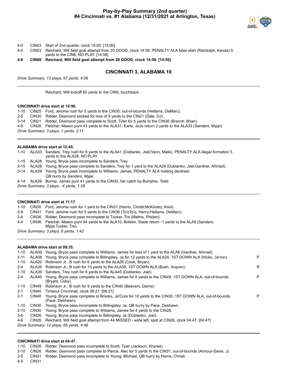

- 4-0 CIN03 Start of 2nd quarter, clock 15:00. [15:00]
- 4-0 CIN03 Reichard, Will field goal attempt from 20 GOOD, clock 14:58, PENALTY ALA false start (Randolph, Kenda) 5 yards to the CIN8, NO PLAY. [14:58]

**4-0 CIN08 Reichard, Will field goal attempt from 26 GOOD, clock 14:56. [14:56]**

## **CINCINNATI 3, ALABAMA 10**

*Drive Summary: 13 plays, 67 yards, 4:56*

Reichard, Will kickoff 65 yards to the CIN0, touchback.

#### **CINCINNATI drive start at 14:56.**

1-10 CIN25 Ford, Jerome rush for 5 yards to the CIN30, out-of-bounds (Hellams, DeMarc).

2-5 CIN30 Ridder, Desmond sacked for loss of 9 yards to the CIN21 (Dale, DJ).

3-14 CIN21 Ridder, Desmond pass complete to Scott, Tyler for 5 yards to the CIN26 (Branch, Brian).

4-9 CIN26 Fletcher, Mason punt 43 yards to the ALA31, Earle, JoJo return 2 yards to the ALA33 (Sanders, Myjai).

*Drive Summary: 3 plays, 1 yards, 2:11*

#### **ALABAMA drive start at 12:45.**

|          | 1-10 ALA33 Sanders, Trey rush for 8 yards to the ALA41 (Dublanko, Joel; Vann, Malik), PENALTY ALA illegal formation 5<br>vards to the ALA28, NO PLAY. |
|----------|-------------------------------------------------------------------------------------------------------------------------------------------------------|
|          | 1-15 ALA28 Young, Bryce pass incomplete to Sanders, Trey.                                                                                             |
| $2 - 15$ | ALA28 Young, Bryce pass complete to Sanders, Trey for 1 yard to the ALA29 (Dublanko, Joel;Gardner, Ahmad).                                            |
|          | 3-14 ALA29 Young, Bryce pass incomplete to Williams, James, PENALTY ALA holding declined.                                                             |
|          | QB hurry by Sanders, Myjai.                                                                                                                           |
|          | 4-14 ALA29 Burnip, James punt 41 yards to the CIN30, fair catch by Bumphis, Todd.                                                                     |
|          | Drive Summary: 3 plays, -4 yards, 1:28                                                                                                                |
|          |                                                                                                                                                       |

#### **CINCINNATI drive start at 11:17.**

1-10 CIN30 Ford, Jerome rush for 1 yard to the CIN31 (Harris, Christi;McKinstry, Kool).

- 2-9 CIN31 Ford, Jerome rush for 5 yards to the CIN36 (To'oTo'o, Henry;Hellams, DeMarc).
- 3-4 CIN36 Ridder, Desmond pass incomplete to Tucker, Tre (Mathis, Phidari).
- 4-4 CIN36 Fletcher, Mason punt 54 yards to the ALA10, Bolden, Slade return -1 yards to the ALA9 (Sanders, Myjai;Tucker, Tre).

*Drive Summary: 3 plays, 6 yards, 1:42*

#### **ALABAMA drive start at 09:35.**

| 1-10     |                   | ALA09 Young, Bryce pass complete to Williams, James for loss of 1 yard to the ALA8 (Gardner, Ahmad).                     |    |
|----------|-------------------|--------------------------------------------------------------------------------------------------------------------------|----|
| $2 - 11$ | ALA08             | Young, Bryce pass complete to Billingsley, Ja for 12 yards to the ALA20, 1ST DOWN ALA (Hicks, Ja'von).                   | P  |
| $1 - 10$ | ALA20             | Robinson Jr., B rush for 6 yards to the ALA26 (Cook, Bryan).                                                             |    |
| $2 - 4$  | ALA26             | Robinson Jr., B rush for 13 yards to the ALA39, 1ST DOWN ALA (Bush, Arguon).                                             | R. |
| 1-10     | ALA39             | Sanders. Trey rush for 6 yards to the ALA45 (Dublanko, Joel).                                                            |    |
| $2 - 4$  | ALA45             | Young, Bryce pass complete to Williams, James for 6 yards to the CIN49, 1ST DOWN ALA, out-of-bounds<br>(Bryant, Coby).   | P  |
| 1-10     | CIN49             | Robinson Jr., B rush for 9 yards to the CIN40 (Beavers, Darria).                                                         |    |
| $2 - 1$  | CIN40             | Timeout Cincinnati, clock 06:21. [06:21]                                                                                 |    |
| $2 - 1$  | CIN40             | Young, Bryce pass complete to Brooks, Ja'Core for 10 yards to the CIN30, 1ST DOWN ALA, out-of-bounds<br>(Pace, Deshawn). | P  |
| 1-10     | CIN <sub>30</sub> | Young, Bryce pass incomplete to Billingsley, Ja, QB hurry by Pace, Deshawn.                                              |    |
| $2 - 10$ | CIN30             | Young, Bryce pass complete to Williams, James for 4 yards to the CIN26.                                                  |    |
| 3-6      | CIN <sub>26</sub> | Young, Bryce pass incomplete to Billingsley, Ja (Dublanko, Joel).                                                        |    |
| 4-6      | CIN <sub>26</sub> | Reichard, Will field goal attempt from 44 MISSED - wide left, spot at CIN26, clock 04:47, [04:47]                        |    |
|          |                   | $Diriv$ e Summany 12 plays 65 vards $4:48$                                                                               |    |

*Drive Summary: 12 plays, 65 yards, 4:48*

#### **CINCINNATI drive start at 04:47.**

1-10 CIN26 Ridder, Desmond pass incomplete to Scott, Tyler (Jackson, Khyree).

2-10 CIN26 Ridder, Desmond pass complete to Pierce, Alec for 5 yards to the CIN31, out-of-bounds (Armour-Davis, J).

3-5 CIN31 Ridder, Desmond pass incomplete to Young, Michael, QB hurry by Harris, Christi.

4-5 CIN31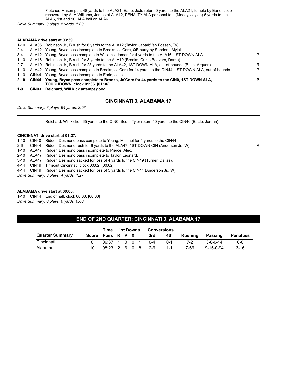Fletcher, Mason punt 48 yards to the ALA21, Earle, JoJo return 0 yards to the ALA21, fumble by Earle, JoJo recovered by ALA Williams, James at ALA12, PENALTY ALA personal foul (Moody, Jaylen) 6 yards to the ALA6, 1st and 10, ALA ball on ALA6.

*Drive Summary: 3 plays, 5 yards, 1:08*

#### **ALABAMA drive start at 03:39.**

| $\overline{\phantom{a}}$ | Fisher Land (MARI) Islam addessed to the di                                                                                                |   |
|--------------------------|--------------------------------------------------------------------------------------------------------------------------------------------|---|
|                          | 2-10 CIN44 Young, Bryce pass complete to Brooks, Ja'Core for 44 yards to the CIN0, 1ST DOWN ALA,<br><b>TOUCHDOWN. clock 01:36. [01:36]</b> | P |
| 1-10                     | CIN44 Young, Bryce pass incomplete to Earle, JoJo.                                                                                         |   |
| 1-10                     | ALA42 Young, Bryce pass complete to Brooks, Ja'Core for 14 yards to the CIN44, 1ST DOWN ALA, out-of-bounds.                                | P |
| $2 - 7$                  | ALA19 Robinson Jr., B rush for 23 yards to the ALA42, 1ST DOWN ALA, out-of-bounds (Bush, Arquon).                                          | R |
|                          | 1-10 ALA16 Robinson Jr., B rush for 3 yards to the ALA19 (Brooks, Curtis; Beavers, Darria).                                                |   |
| $3 - 4$                  | ALA12 Young, Bryce pass complete to Williams, James for 4 yards to the ALA16, 1ST DOWN ALA.                                                | P |
| $2 - 4$                  | ALA12 Young, Bryce pass incomplete to Brooks, Ja'Core, QB hurry by Sanders, Myjai.                                                         |   |
| 1-10                     | ALA06 Robinson Jr., B rush for 6 yards to the ALA12 (Taylor, Jabari; Van Fossen, Ty).                                                      |   |
|                          |                                                                                                                                            |   |

**1-0 CIN03 Reichard, Will kick attempt good.**

## **CINCINNATI 3, ALABAMA 17**

*Drive Summary: 8 plays, 94 yards, 2:03*

Reichard, Will kickoff 65 yards to the CIN0, Scott, Tyler return 40 yards to the CIN40 (Battle, Jordan).

#### **CINCINNATI drive start at 01:27.**

1-10 CIN40 Ridder, Desmond pass complete to Young, Michael for 4 yards to the CIN44.

2-6 CIN44 Ridder, Desmond rush for 9 yards to the ALA47, 1ST DOWN CIN (Anderson Jr., W).

1-10 ALA47 Ridder, Desmond pass incomplete to Pierce, Alec.

2-10 ALA47 Ridder, Desmond pass incomplete to Taylor, Leonard.

3-10 ALA47 Ridder, Desmond sacked for loss of 4 yards to the CIN49 (Turner, Dallas).

4-14 CIN49 Timeout Cincinnati, clock 00:02. [00:02]

4-14 CIN49 Ridder, Desmond sacked for loss of 5 yards to the CIN44 (Anderson Jr., W).

*Drive Summary: 6 plays, 4 yards, 1:27*

#### **ALABAMA drive start at 00:00.**

1-10 CIN44 End of half, clock 00:00. [00:00] *Drive Summary: 0 plays, 0 yards, 0:00*

## **END OF 2ND QUARTER: CINCINNATI 3, ALABAMA 17**

|                        | Time               | <b>1st Downs</b>    |  |  |  | <b>Conversions</b> |     |         |         |                   |                  |
|------------------------|--------------------|---------------------|--|--|--|--------------------|-----|---------|---------|-------------------|------------------|
| <b>Quarter Summary</b> | Score Poss R P X T |                     |  |  |  |                    | 3rd | 4th     | Rushina | Passing           | <b>Penalties</b> |
| Cincinnati             |                    | $06:37$ 1 0 0 1 0 4 |  |  |  |                    |     | . በ-1   | 7-2     | $3 - 8 - 0 - 14$  | $0 - 0$          |
| Alabama                | 10                 | 08:23 2 6 0 8       |  |  |  |                    | 2-6 | $1 - 1$ | 7-66    | $9 - 15 - 0 - 94$ | $3 - 16$         |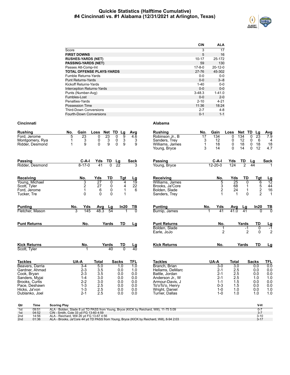## **Quickie Statistics (Halftime Cumulative) #4 Cincinnati vs. #1 Alabama (12/31/2021 at Arlington, Texas)**



| <b>CIN</b>   | <b>ALA</b>    |
|--------------|---------------|
| 3            | 17            |
| 5            | 16            |
| 10-17        | 25-172        |
| 59           | 130           |
| $17 - 8 - 0$ | $20 - 12 - 0$ |
| 27-76        | 45-302        |
| $0 - 0$      | $0 - 0$       |
| $0 - 0$      | $3 - 8$       |
| $1 - 40$     | $0 - 0$       |
| $0 - 0$      | $0 - 0$       |
| $3 - 48.3$   | $1 - 41.0$    |
| $0 - 0$      | $2 - 0$       |
| $2 - 10$     | $4 - 21$      |
| 11:36        | 18:24         |
| $2 - 7$      | $4 - 8$       |
| $0 - 1$      | $1 - 1$       |
|              |               |

| <b>Rushing</b>                                                                                      | Gain<br>No.                                                    | Loss                                                                                        | Net TD Lg                                            | Avg                                    | <b>Rushing</b>                                                                                              | No.                            | Gain                                                                   | Loss                                   | Net TD                                     | Lg                                                        | Avg                                                |
|-----------------------------------------------------------------------------------------------------|----------------------------------------------------------------|---------------------------------------------------------------------------------------------|------------------------------------------------------|----------------------------------------|-------------------------------------------------------------------------------------------------------------|--------------------------------|------------------------------------------------------------------------|----------------------------------------|--------------------------------------------|-----------------------------------------------------------|----------------------------------------------------|
| Ford, Jerome<br>Montgomery, Rya<br>Ridder, Desmond                                                  | 23<br>5<br>3<br>1<br>9<br>1                                    | 23<br>0<br>0<br>3<br>9<br>$\Omega$                                                          | $\overline{9}$<br>0<br>3<br>0<br>$\overline{0}$<br>9 | $\overline{4.6}$<br>3<br>9             | Robinson Jr., B<br>Sanders, Trey<br>Williams, James<br>Young, Bryce                                         | $\overline{17}$<br>3<br>1<br>3 | 134<br>12<br>18<br>14                                                  | 0<br>0<br>0<br>$\Omega$                | 134<br>12<br>18<br>14                      | $\Omega$<br>23<br>6<br>0<br>0<br>18<br>$\mathbf{0}$<br>12 | 7.9<br>4<br>18<br>4.7                              |
| Passing<br>Ridder, Desmond                                                                          | $C-A-I$<br>$8 - 17 - 0$                                        | Yds<br>TD<br>41<br>$\overline{0}$                                                           | Lg<br>$\overline{22}$                                | <b>Sack</b><br>3                       | <b>Passing</b><br>Young, Bryce                                                                              |                                | C-A-I<br>$12 - 20 - 0$                                                 | Yds<br>124                             | TD<br>$\overline{2}$                       | Lg<br>44                                                  | <b>Sack</b>                                        |
| Receiving<br>Young, Michael<br>Scott, Tyler<br>Ford, Jerome<br>Tucker, Tre                          | No.<br>3<br>2<br>1<br>$\Omega$                                 | Yds<br>TD<br>$\overline{27}$<br>$\overline{0}$<br>27<br>0<br>0<br>6<br>$\Omega$<br>$\Omega$ | Tgt<br>4<br>4<br>1<br>1                              | Lg<br>19<br>22<br>6                    | Receiving<br>Williams, James<br>Brooks, Ja'Core<br>Bolden, Slade<br>Sanders, Trey                           |                                | No.<br>5<br>$\ensuremath{\mathsf{3}}$<br>$\overline{2}$<br>$\mathbf 1$ | Yds<br>25<br>68<br>24<br>$\mathbf 1$   | TD<br>$\overline{0}$<br>1<br>1<br>$\Omega$ | Tgt<br>6<br>5<br>2<br>2                                   | $\frac{Lg}{12}$<br>$\frac{44}{16}$<br>$\mathbf{1}$ |
| <b>Punting</b><br>Fletcher, Mason                                                                   | No.<br>Yds<br>3<br>145                                         | Avg<br>Lg<br>48.3<br>54                                                                     | ln20                                                 | ТВ<br>$\Omega$                         | <b>Punting</b><br>Burnip, James                                                                             | No.                            | Yds<br>41                                                              | Avg<br>41.0                            | Lg<br>41                                   | In20<br>0                                                 | TВ<br>$\overline{0}$                               |
| <b>Punt Returns</b>                                                                                 | No.                                                            | Yards                                                                                       | TD                                                   | Lg                                     | <b>Punt Returns</b><br>Bolden, Slade<br>Earle, JoJo                                                         |                                | No.<br>1<br>$\overline{2}$                                             |                                        | Yards<br>$-1$<br>$\overline{2}$            | TD<br>$\overline{0}$<br>$\Omega$                          | $\frac{Lg}{-1}$<br>$\overline{2}$                  |
| <b>Kick Returns</b><br>Scott, Tyler                                                                 | No.<br>1                                                       | Yards<br>40                                                                                 | TD<br>$\overline{0}$                                 | Lg<br>$\overline{40}$                  | <b>Kick Returns</b>                                                                                         |                                | No.                                                                    |                                        | Yards                                      | TD                                                        | Lg                                                 |
| <b>Tackles</b><br>Beavers, Darria<br>Gardner, Ahmad                                                 | UA-A<br>$3-4$<br>$2 - 3$                                       | <b>Total</b><br>5.0<br>3.5                                                                  | <b>Sacks</b><br>1.0<br>0.0                           | <b>TFL</b><br>$\overline{1.0}$<br>1.0  | <b>Tackles</b><br>Branch, Brian<br>Hellams, DeMarc                                                          |                                | UA-A<br>$3-0$<br>$2 - 1$                                               | <b>Total</b><br>3.0<br>2.5             |                                            | <b>Sacks</b><br>0.0<br>0.0                                | <b>TFL</b><br>0.0<br>0.0                           |
| Cook, Bryan<br>Sanders, Myjai<br>Brooks, Curtis<br>Pace, Deshawn<br>Hicks, Ja'von<br>Dublanko, Joel | $2 - 3$<br>$1 - 4$<br>$2 - 2$<br>$1 - 3$<br>$1 - 3$<br>$2 - 1$ | 3.5<br>3.0<br>3.0<br>2.5<br>2.5<br>2.5                                                      | 0.0<br>0.0<br>0.0<br>0.0<br>0.0<br>0.0               | 0.0<br>0.0<br>0.0<br>0.0<br>0.0<br>0.0 | Battle, Jordan<br>Anderson Jr., W<br>Armour-Davis, J<br>To'oTo'o, Henry<br>Wright, Daniel<br>Turner, Dallas |                                | $2 - 1$<br>$2 - 1$<br>$1 - 1$<br>$0 - 3$<br>$1 - 0$<br>$1 - 0$         | 2.5<br>2.5<br>1.5<br>1.5<br>1.0<br>1.0 |                                            | 0.0<br>1.0<br>0.0<br>0.0<br>0.0<br>1.0                    | 0.0<br>1.0<br>0.0<br>0.0<br>1.0<br>1.0             |
|                                                                                                     |                                                                |                                                                                             |                                                      |                                        |                                                                                                             |                                |                                                                        |                                        |                                            |                                                           |                                                    |

| Qtr             | Time  | <b>Scoring Play</b>                                                                       | V-F      |
|-----------------|-------|-------------------------------------------------------------------------------------------|----------|
| 1st             | 09:51 | ALA - Bolden, Slade 8 yd TD PASS from Young, Bryce (KICK by Reichard, Will), 11-75 5:09   |          |
| 1st             | 04:52 | CIN - Smith, Cole 33 vd FG 13-60 4:59                                                     |          |
| 2nd             | 14:56 | ALA - Reichard. Will 26 vd FG 13-67 4:56                                                  | $3 - 10$ |
| 2 <sub>nd</sub> | 01:36 | ALA - Brooks, Ja'Core 44 yd TD PASS from Young, Bryce (KICK by Reichard, Will), 8-94 2:03 | $3 - 17$ |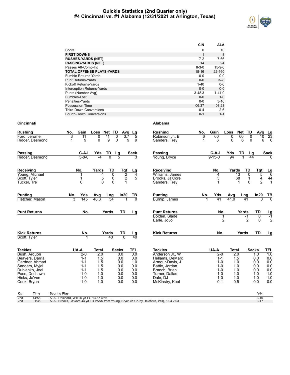## **Quickie Statistics (2nd Quarter only) #4 Cincinnati vs. #1 Alabama (12/31/2021 at Arlington, Texas)**



|                                  | <b>CIN</b>  | <b>ALA</b>   |
|----------------------------------|-------------|--------------|
| Score                            | 0           | 10           |
| <b>FIRST DOWNS</b>               | 1           | 8            |
| <b>RUSHES-YARDS (NET)</b>        | 7-2         | 7-66         |
| <b>PASSING-YARDS (NET)</b>       | 14          | 94           |
| Passes Att-Comp-Int              | $8 - 3 - 0$ | $15 - 9 - 0$ |
| <b>TOTAL OFFENSE PLAYS-YARDS</b> | 15-16       | 22-160       |
| Fumble Returns-Yards             | $0 - 0$     | $0 - 0$      |
| <b>Punt Returns-Yards</b>        | $0 - 0$     | $3 - 8$      |
| <b>Kickoff Returns-Yards</b>     | $1 - 40$    | $0 - 0$      |
| Interception Returns-Yards       | $0 - 0$     | $0 - 0$      |
| Punts (Number-Avg)               | $3 - 48.3$  | $1 - 41.0$   |
| Fumbles-Lost                     | $0 - 0$     | $1 - 0$      |
| Penalties-Yards                  | $0 - 0$     | $3 - 16$     |
| Possession Time                  | 06:37       | 08:23        |
| <b>Third-Down Conversions</b>    | $0 - 4$     | $2-6$        |
| Fourth-Down Conversions          | $0 - 1$     | $1 - 1$      |

| <b>Rushing</b>              |                                  | No.                                      | Gain               | Loss             | Net TD              | Avg                  | Lg                     | <b>Rushing</b>                                                                            | No.    | Gain                | Loss                        | Net        | TD            | Avg<br><u>Lg</u>                                              |
|-----------------------------|----------------------------------|------------------------------------------|--------------------|------------------|---------------------|----------------------|------------------------|-------------------------------------------------------------------------------------------|--------|---------------------|-----------------------------|------------|---------------|---------------------------------------------------------------|
| Ford, Jerome                | Ridder, Desmond                  | 3<br>$\mathbf 1$                         | 11<br>9            | 0<br>$\Omega$    | 11<br>9             | 0<br>3.7<br>$\Omega$ | 5<br>9<br>9            | Robinson Jr., B<br>Sanders, Trey                                                          | 6<br>1 | 60<br>6             | $\mathbf 0$<br>$\mathbf{0}$ | 60<br>6    | 0<br>$\Omega$ | 23<br>10<br>6<br>6                                            |
| <b>Passing</b>              |                                  |                                          | $C-A-I$            | Yds              | TD                  | <u>Lg</u>            | <b>Sack</b>            | Passing                                                                                   |        | $C-A-I$             | Yds                         | TD         | Lg            | <b>Sack</b>                                                   |
|                             | Ridder, Desmond                  |                                          | $3 - 8 - 0$        | -4               | $\overline{0}$      | 5                    |                        | Young, Bryce                                                                              |        | $9 - 15 - 0$        | 94                          | 1          | 44            |                                                               |
| <b>Receiving</b>            |                                  |                                          | No.                | Yards            | TD                  | Tgt                  | Lg                     | Receiving                                                                                 |        | No.                 | Yards                       |            | TD            | <b>Tgt</b><br>$\frac{Lg}{6}$                                  |
|                             | Young, Michael                   |                                          | 1                  | 4                | $\mathbf 0$         | $\frac{2}{2}$        | 4<br>5                 | Williams, James                                                                           |        | 4                   |                             | 13         | 0             | 5                                                             |
| Scott, Tyler<br>Tucker, Tre |                                  |                                          | $\mathbf 0$        | 5<br>$\Omega$    | 0<br>$\overline{0}$ | 1                    |                        | Brooks, Ja'Core<br>Sanders, Trey                                                          |        | 3                   |                             | 68<br>1    | 1<br>$\Omega$ | $\begin{array}{c} 44 \\ 1 \end{array}$<br>4<br>$\overline{2}$ |
| <b>Punting</b>              |                                  | No.                                      | Yds                | Avg              | Lng                 | In20                 | TВ                     | <b>Punting</b>                                                                            | No.    | Yds                 | Avg                         | Lng        | In20          | TВ                                                            |
|                             | Fletcher, Mason                  |                                          | 3<br>145           | 48.3             | 54                  |                      | $\overline{0}$         | Burnip, James                                                                             |        | $\overline{41}$     | 41.0                        | 41         |               | 70<br>$\Omega$                                                |
| <b>Punt Returns</b>         |                                  |                                          | No.                |                  | Yards               | TD                   | Lg                     | <b>Punt Returns</b>                                                                       |        | No.                 |                             | Yards      | TD            | $\frac{Lg}{-1}$                                               |
|                             |                                  |                                          |                    |                  |                     |                      |                        | Bolden, Slade<br>Earle, JoJo                                                              |        | 1<br>$\overline{2}$ |                             | $-1$       | 2             | 0<br>$\overline{2}$<br>$\Omega$                               |
| <b>Kick Returns</b>         |                                  |                                          | No.                |                  | Yards               | TD                   |                        | <b>Kick Returns</b>                                                                       |        | No.                 |                             | Yards      | <b>TD</b>     | Lg                                                            |
| Scott, Tyler                |                                  |                                          |                    |                  | 40                  | $\overline{0}$       | $\frac{\text{Lg}}{40}$ |                                                                                           |        |                     |                             |            |               |                                                               |
| <b>Tackles</b>              |                                  |                                          | UA-A               | <b>Total</b>     |                     | <b>Sacks</b>         | <b>TFL</b>             | <b>Tackles</b>                                                                            |        | UA-A                | <b>Total</b>                |            | <b>Sacks</b>  | TFL                                                           |
| Bush, Arguon                |                                  |                                          | $2-0$              | $\overline{2.0}$ |                     | 0.0                  | 0.0                    | Anderson Jr., W                                                                           |        | $2-0$               |                             | 2.0        | 1.0           | $\overline{1.0}$                                              |
|                             | Beavers, Darria                  |                                          | $1 - 1$            | 1.5              |                     | 0.0                  | 0.0                    | Hellams, DeMarc                                                                           |        | $1 - 1$             |                             | 1.5        | 0.0           | 0.0                                                           |
|                             | Gardner, Ahmad<br>Sanders, Myjai |                                          | $1 - 1$<br>$1 - 1$ | 1.5<br>1.5       |                     | 0.0<br>0.0           | 1.0<br>0.0             | Armour-Davis, J<br>Battle, Jordan                                                         |        | $1 - 0$<br>$1 - 0$  |                             | 1.0<br>1.0 | 0.0<br>0.0    | 0.0<br>0.0                                                    |
|                             | Dublanko, Joel                   |                                          | $1 - 1$            | 1.5              |                     | 0.0                  | 0.0                    | Branch, Brian                                                                             |        | $1 - 0$             |                             | 1.0        | 0.0           | 0.0                                                           |
|                             | Pace, Deshawn                    |                                          | $1 - 0$            | 1.0              |                     | 0.0                  | 0.0                    | Turner, Dallas                                                                            |        | $1 - 0$             |                             | 1.0        | 1.0           | 1.0                                                           |
| Hicks, Ja'von               |                                  |                                          | $1 - 0$            | 1.0              |                     | 0.0                  | 0.0                    | Dale, DJ                                                                                  |        | $1 - 0$             |                             | 1.0        | 1.0           | 1.0                                                           |
| Cook, Bryan                 |                                  |                                          | $1 - 0$            | 1.0              |                     | 0.0                  | 0.0                    | McKinstry, Kool                                                                           |        | $0 - 1$             |                             | 0.5        | 0.0           | 0.0                                                           |
| Qtr                         | Time                             | <b>Scoring Play</b>                      |                    |                  |                     |                      |                        |                                                                                           |        |                     |                             |            |               | V-H                                                           |
| 2 <sub>nd</sub>             | 14:56                            | ALA - Reichard, Will 26 yd FG 13-67 4:56 |                    |                  |                     |                      |                        |                                                                                           |        |                     |                             |            |               | $3 - 10$                                                      |
| 2 <sub>nd</sub>             | 01:36                            |                                          |                    |                  |                     |                      |                        | ALA - Brooks, Ja'Core 44 yd TD PASS from Young, Bryce (KICK by Reichard, Will), 8-94 2:03 |        |                     |                             |            |               | $3 - 17$                                                      |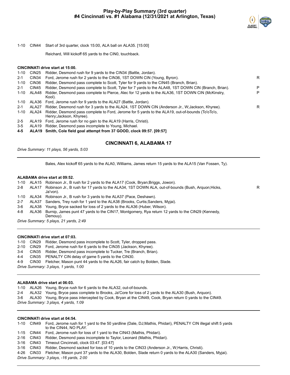

1-10 CIN44 Start of 3rd quarter, clock 15:00, ALA ball on ALA35. [15:00]

Reichard, Will kickoff 65 yards to the CIN0, touchback.

#### **CINCINNATI drive start at 15:00.**

| 1-10     | CIN25 | Ridder, Desmond rush for 9 yards to the CIN34 (Battle, Jordan).                                                              |   |
|----------|-------|------------------------------------------------------------------------------------------------------------------------------|---|
| 2-1      | CIN34 | Ford, Jerome rush for 2 yards to the CIN36, 1ST DOWN CIN (Young, Byron).                                                     | R |
| $1 - 10$ | CIN36 | Ridder, Desmond pass complete to Scott, Tyler for 9 yards to the CIN45 (Branch, Brian).                                      |   |
| $2 - 1$  | CIN45 | Ridder, Desmond pass complete to Scott, Tyler for 7 yards to the ALA48, 1ST DOWN CIN (Branch, Brian).                        | P |
| $1 - 10$ | ALA48 | Ridder, Desmond pass complete to Pierce, Alec for 12 yards to the ALA36, 1ST DOWN CIN (McKinstry,<br>Kool).                  | P |
| 1-10     |       | ALA36 Ford, Jerome rush for 9 yards to the ALA27 (Battle, Jordan).                                                           |   |
| $2 - 1$  | ALA27 | Ridder, Desmond rush for 3 yards to the ALA24, 1ST DOWN CIN (Anderson Jr., W; Jackson, Khyree).                              | R |
| $1 - 10$ | ALA24 | Ridder, Desmond pass complete to Ford, Jerome for 5 yards to the ALA19, out-of-bounds (To'oTo'o,<br>Henry; Jackson, Khyree). |   |
| $2 - 5$  |       | ALA19 Ford, Jerome rush for no gain to the ALA19 (Harris, Christi).                                                          |   |
| . .      |       | Al Adol Didden December - Leonard de La Verren Michael                                                                       |   |

3-5 ALA19 Ridder, Desmond pass incomplete to Young, Michael.

**4-5 ALA19 Smith, Cole field goal attempt from 37 GOOD, clock 09:57. [09:57]**

## **CINCINNATI 6, ALABAMA 17**

*Drive Summary: 11 plays, 56 yards, 5:03*

Bales, Alex kickoff 65 yards to the ALA0, Williams, James return 15 yards to the ALA15 (Van Fossen, Ty).

#### **ALABAMA drive start at 09:52.**

|         |       | 1-10 ALA15 Robinson Jr., B rush for 2 yards to the ALA17 (Cook, Bryan; Briggs, Jowon).                        |   |
|---------|-------|---------------------------------------------------------------------------------------------------------------|---|
| $2 - 8$ | ALA17 | Robinson Jr., B rush for 17 yards to the ALA34, 1ST DOWN ALA, out-of-bounds (Bush, Arguon; Hicks,<br>Ja'von). | R |
|         |       | 1-10 ALA34 Robinson Jr., B rush for 3 yards to the ALA37 (Pace, Deshawn).                                     |   |
| $2 - 7$ |       | ALA37 Sanders, Trey rush for 1 yard to the ALA38 (Brooks, Curtis; Sanders, Myjai).                            |   |
| 3-6     |       | ALA38 Young, Bryce sacked for loss of 2 yards to the ALA36 (Huber, Wilson).                                   |   |
| 4-8     | ALA36 | Burnip, James punt 47 yards to the CIN17, Montgomery, Rya return 12 yards to the CIN29 (Kennedy,<br>Demouy).  |   |
|         |       | Drive Summary: 5 plays, 21 yards, 2:49                                                                        |   |

#### **CINCINNATI drive start at 07:03.**

|         | 1-10 CIN29 Ridder, Desmond pass incomplete to Scott, Tyler, dropped pass.      |
|---------|--------------------------------------------------------------------------------|
|         | 2-10 CIN29 Ford, Jerome rush for 6 yards to the CIN35 (Jackson, Khyree).       |
| $3 - 4$ | CIN35 Ridder, Desmond pass incomplete to Tucker, Tre (Branch, Brian).          |
| $4 - 4$ | CIN35 PENALTY CIN delay of game 5 yards to the CIN30.                          |
| 4-9     | CIN30 Fletcher, Mason punt 44 yards to the ALA26, fair catch by Bolden, Slade. |
|         | Drive Summary: 3 plays, 1 yards, 1:00                                          |

#### **ALABAMA drive start at 06:03.**

1-10 ALA26 Young, Bryce rush for 6 yards to the ALA32, out-of-bounds.

2-4 ALA32 Young, Bryce pass complete to Brooks, Ja'Core for loss of 2 yards to the ALA30 (Bush, Arquon).

3-6 ALA30 Young, Bryce pass intercepted by Cook, Bryan at the CIN49, Cook, Bryan return 0 yards to the CIN49.

*Drive Summary: 3 plays, 4 yards, 1:09*

#### **CINCINNATI drive start at 04:54.**

1-10 CIN49 Ford, Jerome rush for 1 yard to the 50 yardline (Dale, DJ;Mathis, Phidari), PENALTY CIN illegal shift 5 yards to the CIN44, NO PLAY.

1-15 CIN44 Ford, Jerome rush for loss of 1 yard to the CIN43 (Mathis, Phidari).

2-16 CIN43 Ridder, Desmond pass incomplete to Taylor, Leonard (Mathis, Phidari).

3-16 CIN43 Timeout Cincinnati, clock 03:47. [03:47]

3-16 CIN43 Ridder, Desmond sacked for loss of 10 yards to the CIN33 (Anderson Jr., W;Harris, Christi).

4-26 CIN33 Fletcher, Mason punt 37 yards to the ALA30, Bolden, Slade return 0 yards to the ALA30 (Sanders, Myjai).

*Drive Summary: 3 plays, -16 yards, 2:00*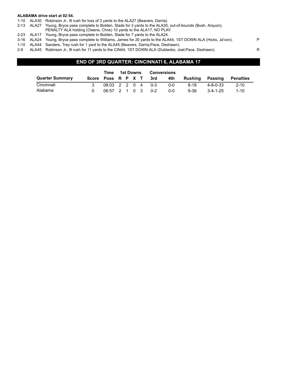#### **ALABAMA drive start at 02:54.**

- 1-10 ALA30 Robinson Jr., B rush for loss of 3 yards to the ALA27 (Beavers, Darria).
- 2-13 ALA27 Young, Bryce pass complete to Bolden, Slade for 3 yards to the ALA30, out-of-bounds (Bush, Arquon),
- PENALTY ALA holding (Owens, Chris) 10 yards to the ALA17, NO PLAY.
- 2-23 ALA17 Young, Bryce pass complete to Bolden, Slade for 7 yards to the ALA24.
- 3-16 ALA24 Young, Bryce pass complete to Williams, James for 20 yards to the ALA44, 1ST DOWN ALA (Hicks, Ja'von). P
- 1-10 ALA44 Sanders, Trey rush for 1 yard to the ALA45 (Beavers, Darria;Pace, Deshawn).
- 2-9 ALA45 Robinson Jr., B rush for 11 yards to the CIN44, 1ST DOWN ALA (Dublanko, Joel;Pace, Deshawn). R

## **END OF 3RD QUARTER: CINCINNATI 6, ALABAMA 17**

|                        |       | Time              | 1st Downs |  | <b>Conversions</b> |         |         |          |                  |                  |
|------------------------|-------|-------------------|-----------|--|--------------------|---------|---------|----------|------------------|------------------|
| <b>Quarter Summary</b> | Score | Poss R P X T      |           |  |                    | 3rd     | 4th     | Rushina  | Passing          | <b>Penalties</b> |
| Cincinnati             |       | 08:03 2 2 0 4 0-3 |           |  |                    |         | $0 - 0$ | 8-18     | $4 - 8 - 0 - 33$ | $2 - 10$         |
| Alabama                |       | 06:57 2 1 0 3     |           |  |                    | $0 - 2$ | 0-0     | $9 - 36$ | $3 - 4 - 1 - 25$ | $1 - 10$         |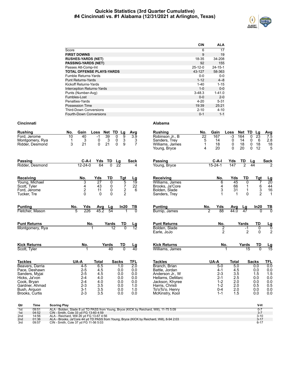## **Quickie Statistics (3rd Quarter Cumulative) #4 Cincinnati vs. #1 Alabama (12/31/2021 at Arlington, Texas)**



|                                   | <b>CIN</b>    | <b>ALA</b>    |
|-----------------------------------|---------------|---------------|
| Score                             | 6             | 17            |
| <b>FIRST DOWNS</b>                | 9             | 19            |
| <b>RUSHES-YARDS (NET)</b>         | 18-35         | 34-208        |
| <b>PASSING-YARDS (NET)</b>        | 92            | 155           |
| Passes Att-Comp-Int               | $25 - 12 - 0$ | $24 - 15 - 1$ |
| <b>TOTAL OFFENSE PLAYS-YARDS</b>  | 43-127        | 58-363        |
| Fumble Returns-Yards              | $0 - 0$       | $0 - 0$       |
| <b>Punt Returns-Yards</b>         | $1 - 12$      | $4 - 8$       |
| Kickoff Returns-Yards             | $1 - 40$      | $1 - 15$      |
| <b>Interception Returns-Yards</b> | $1 - 0$       | $0 - 0$       |
| Punts (Number-Avg)                | $3 - 48.3$    | $1 - 41.0$    |
| Fumbles-Lost                      | $0 - 0$       | $2 - 0$       |
| Penalties-Yards                   | $4 - 20$      | $5 - 31$      |
| Possession Time                   | 19:39         | 25:21         |
| <b>Third-Down Conversions</b>     | $2 - 10$      | $4 - 10$      |
| <b>Fourth-Down Conversions</b>    | $0 - 1$       | $1 - 1$       |

| <b>Rushing</b>               | No.<br>Gain                  |                 | Loss Net TD Lg                            | Avg                    | <b>Rushing</b>                     | No. | Gain               | Loss              | Net TD          | Lq                 | <b>Avg</b>                     |
|------------------------------|------------------------------|-----------------|-------------------------------------------|------------------------|------------------------------------|-----|--------------------|-------------------|-----------------|--------------------|--------------------------------|
| Ford, Jerome                 | 10<br>40                     | $-1$            | 39<br>$\Omega$<br>9                       | 3.9                    | Robinson Jr., B                    | 22  | 167                | $-3$              | 164             | 23<br>$\mathbf{0}$ | 7.5                            |
| Montgomery, Rya              | 3<br>1                       | 0               | $\frac{3}{9}$<br>3<br>$_{0}^{0}$          | 3                      | Sanders, Trey                      | 5   | 14                 | 0                 | 14              | 0<br>6             | 2.8                            |
| Ridder, Desmond              | 3<br>21                      | $\Omega$        | 21                                        | $\overline{7}$         | Williams, James                    | 1   | 18                 | 0                 | 18<br>20        | 0<br>18<br>12      | 18<br>5                        |
|                              |                              |                 |                                           |                        | Young, Bryce                       | 4   | 20                 | $\Omega$          |                 | $\Omega$           |                                |
| <b>Passing</b>               | $C-A-I$                      | Yds             | TD<br>Lg                                  | <b>Sack</b>            | <b>Passing</b>                     |     | $C-A-I$            | Yds               | TD              | Lg                 | <b>Sack</b>                    |
| Ridder, Desmond              | $12 - 24 - 0$                | 64              | $\overline{0}$<br>$\overline{22}$         | 4                      | Young, Bryce                       |     | $15 - 24 - 1$      | 147               | $\overline{2}$  | 44                 |                                |
| Receiving                    | No.                          | Yds             | TD<br>Tgt                                 | $\frac{Lg}{19}$        | Receiving                          |     | No.                | Yds               | TD              | Tgt                | $\frac{Lg}{20}$                |
| Young, Michael               | 3                            | $\overline{27}$ | 5<br>0                                    |                        | Williams, James                    |     | 6                  | 45                | 0               |                    | 7                              |
| Scott, Tyler                 | 4                            | 43              | $\frac{7}{2}$<br>0                        | 22                     | Brooks, Ja'Core                    |     | 4                  | 66                | 1               |                    | $\frac{44}{16}$<br>6<br>3<br>2 |
| Ford, Jerome<br>Tucker, Tre  | $\boldsymbol{2}$<br>$\Omega$ | 11<br>$\Omega$  | $\mathsf 0$<br>$\overline{2}$<br>$\Omega$ | 6                      | Bolden, Slade<br>Sanders, Trey     |     | 3                  | 31<br>$\mathbf 1$ | 1<br>$\Omega$   |                    | $\mathbf{1}$                   |
|                              |                              |                 |                                           |                        |                                    |     |                    |                   |                 |                    |                                |
| <b>Punting</b>               | No.<br>Yds                   | <b>Avg</b>      | In20<br>Lg                                | TВ                     | <b>Punting</b>                     | No. | Yds                | Avg               | <u>Lg</u>       | In20               | TВ                             |
| Fletcher, Mason              | 226<br>5                     | 45.2            | $\overline{54}$                           |                        | Burnip, James                      | 2   | 88                 | 44.0              | $\overline{47}$ |                    |                                |
| <b>Punt Returns</b>          | No.                          |                 | Yards<br>TD                               | $\frac{\text{Lg}}{12}$ | <b>Punt Returns</b>                |     | No.                |                   | Yards           | TD                 | $\frac{Lg}{0}$                 |
| Montgomery, Rya              |                              |                 | 12                                        |                        | Bolden, Slade                      |     | $\overline{2}$     |                   | $-1$            | 0                  |                                |
|                              |                              |                 |                                           |                        | Earle, JoJo                        |     | $\overline{2}$     |                   | $\mathfrak{p}$  | $\Omega$           | $\overline{2}$                 |
| <b>Kick Returns</b>          | No.                          |                 | Yards<br>TD                               | $\frac{\text{Lg}}{40}$ | <b>Kick Returns</b>                |     | No.                |                   | Yards           | TD                 | <u>Lg</u><br>15                |
| Scott, Tyler                 |                              |                 | 40<br>$\overline{0}$                      |                        | Williams, James                    |     |                    |                   |                 | 15                 | $\overline{0}$                 |
| <b>Tackles</b>               | UA-A                         | <b>Total</b>    | <b>Sacks</b>                              | <b>TFL</b>             | <b>Tackles</b>                     |     | UA-A               | <b>Total</b>      |                 | <b>Sacks</b>       | <b>TFL</b>                     |
| Beavers, Darria              | $4 - 5$                      | 6.5             | 1.0                                       | $\overline{2.0}$       | Branch, Brian                      |     | $5-0$              | 5.0               |                 | 0.0                | 0.0                            |
| Pace, Deshawn                | $2 - 5$                      | 4.5             | 0.0                                       | 0.0                    | Battle, Jordan                     |     | $4 - 1$            | 4.5               |                 | 0.0                | $0.0$<br>1.5                   |
| Sanders, Myjai               | $2 - 5$                      | 4.5             | 0.0                                       | 0.0                    | Anderson Jr., W                    |     | $2 - 3$            | 3.5               |                 | 1.5                |                                |
| Hicks, Ja'von<br>Cook, Bryan | $2 - 4$<br>$2 - 4$           | 4.0<br>4.0      | 0.0<br>0.0                                | 0.0<br>0.0             | Hellams, DeMarc<br>Jackson, Khyree |     | $2 - 1$<br>$1 - 2$ | 2.5<br>2.0        |                 | 0.0<br>0.0         | 0.0                            |
| Gardner, Ahmad               | $2 - 3$                      | 3.5             | 0.0                                       | 1.0                    | Harris, Christi                    |     | $1 - 2$            | 2.0               |                 | 0.5                | $0.0 \\ 0.5$                   |
| Bush, Arquon                 | $3 - 1$                      | 3.5             | 0.0                                       | 1.0                    | To'oTo'o, Henry                    |     | $0 - 4$            | 2.0               |                 | 0.0                | 0.0                            |
| Brooks, Curtis               | $2 - 3$                      | 3.5             | 0.0                                       | 0.0                    | McKinstry, Kool                    |     | $1 - 1$            | 1.5               |                 | 0.0                | 0.0                            |
|                              |                              |                 |                                           |                        |                                    |     |                    |                   |                 |                    |                                |

| Qtr             | Time  | <b>Scoring Play</b>                                                                       | V-H      |
|-----------------|-------|-------------------------------------------------------------------------------------------|----------|
| 1st             | 09:51 | ALA - Bolden, Slade 8 yd TD PASS from Young, Bryce (KICK by Reichard, Will), 11-75 5:09   |          |
| 1st             | 04:52 | CIN - Smith, Cole 33 vd FG 13-60 4:59                                                     |          |
| 2 <sub>nd</sub> | 14:56 | ALA - Reichard. Will 26 vd FG 13-67 4:56                                                  | $3 - 10$ |
| 2nd             | 01:36 | ALA - Brooks, Ja'Core 44 yd TD PASS from Young, Bryce (KICK by Reichard, Will), 8-94 2:03 | $3 - 17$ |
| 3rd             | 09:57 | CIN - Smith, Cole 37 yd FG 11-56 5:03                                                     | 6-17     |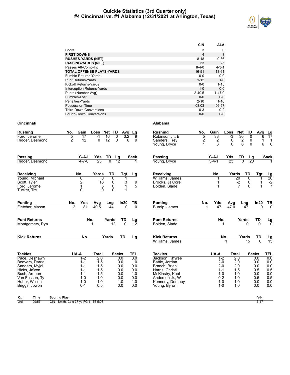## **Quickie Statistics (3rd Quarter only) #4 Cincinnati vs. #1 Alabama (12/31/2021 at Arlington, Texas)**



|                                   | <b>CIN</b>     | <b>ALA</b>  |
|-----------------------------------|----------------|-------------|
| Score                             | 3              | $\Omega$    |
| <b>FIRST DOWNS</b>                | $\overline{4}$ | 3           |
| <b>RUSHES-YARDS (NET)</b>         | $8 - 18$       | $9 - 36$    |
| <b>PASSING-YARDS (NET)</b>        | 33             | 25          |
| Passes Att-Comp-Int               | $8 - 4 - 0$    | $4 - 3 - 1$ |
| <b>TOTAL OFFENSE PLAYS-YARDS</b>  | $16 - 51$      | $13 - 61$   |
| Fumble Returns-Yards              | $0 - 0$        | $0-0$       |
| <b>Punt Returns-Yards</b>         | $1 - 12$       | $1 - 0$     |
| Kickoff Returns-Yards             | $0 - 0$        | $1 - 15$    |
| <b>Interception Returns-Yards</b> | $1 - 0$        | $0 - 0$     |
| Punts (Number-Avg)                | $2 - 40.5$     | $1 - 47.0$  |
| Fumbles-Lost                      | $0 - 0$        | $0 - 0$     |
| Penalties-Yards                   | $2 - 10$       | $1 - 10$    |
| Possession Time                   | 08:03          | 06:57       |
| <b>Third-Down Conversions</b>     | $0 - 3$        | $0 - 2$     |
| Fourth-Down Conversions           | $0 - 0$        | $0 - 0$     |

## **Cincinnati Alabama**

| <b>Rushing</b><br>Ford. Jerome<br>Ridder, Desmond                                                                                                         | Gain<br>No.<br>5<br>$\overline{17}$<br>$\overline{2}$<br>12                                | Loss Net TD<br>$-1$<br>$\overline{16}$<br>12<br>$\Omega$             | Avg<br>$\Omega$<br>3.2<br>$\mathbf 0$                                | Lg<br>9<br>6<br>9                                                  | <b>Rushing</b><br>Robinson Jr., B<br>Sanders, Trey<br>Young, Bryce                                                                                               | No.<br>5<br>$\overline{\mathbf{c}}$<br>$\mathbf{1}$ | Gain<br>33<br>$\frac{2}{6}$                                                                  | Loss<br>-3<br>0<br>$\Omega$                                          | Net TD<br>30<br>$\frac{2}{6}$ | Avg<br>$\overline{0}$<br>0<br>$\Omega$                               | <u>Lg</u><br>17<br>6<br>1<br>1<br>$\,6$<br>6                       |
|-----------------------------------------------------------------------------------------------------------------------------------------------------------|--------------------------------------------------------------------------------------------|----------------------------------------------------------------------|----------------------------------------------------------------------|--------------------------------------------------------------------|------------------------------------------------------------------------------------------------------------------------------------------------------------------|-----------------------------------------------------|----------------------------------------------------------------------------------------------|----------------------------------------------------------------------|-------------------------------|----------------------------------------------------------------------|--------------------------------------------------------------------|
| <b>Passing</b><br>Ridder, Desmond                                                                                                                         | $C-A-I$<br>$4 - 7 - 0$                                                                     | <u>TD</u><br>Yds<br>23<br>$\overline{0}$                             | $\frac{Lg}{12}$                                                      | Sack                                                               | <b>Passing</b><br>Young, Bryce                                                                                                                                   |                                                     | $C-A-I$<br>$3 - 4 - 1$                                                                       | Yds<br>23                                                            | TD<br>$\overline{0}$          | $\frac{\text{Lg}}{20}$                                               | <b>Sack</b>                                                        |
| Receiving<br>Young, Michael<br>Scott, Tyler<br>Ford, Jerome<br>Tucker, Tre                                                                                | No.<br>0<br>$\overline{c}$<br>1<br>$\Omega$                                                | Yards<br>0<br>$\frac{16}{5}$<br>$\Omega$                             | TD<br>Tgt<br>0<br>1<br>0<br>3<br>0<br>$\mathbf 1$<br>$\Omega$<br>1   | Lg<br>9<br>5                                                       | Receiving<br>Williams, James<br>Brooks, Ja'Core<br>Bolden, Slade                                                                                                 |                                                     | No.<br>1<br>1                                                                                | Yards                                                                | TD<br>20<br>$\frac{-2}{7}$    | Tgt<br>0<br>1<br>0<br>1<br>$\Omega$<br>$\overline{1}$                | $\frac{Lg}{20}$<br>$-2$<br>7                                       |
| <b>Punting</b><br>Fletcher, Mason                                                                                                                         | No.<br>Yds<br>ヮ<br>81                                                                      | Avg<br>Lng<br>40.5                                                   | In20<br>44<br>$\overline{0}$                                         | <u>ТВ</u><br>$\overline{0}$                                        | <b>Punting</b><br>Burnip, James                                                                                                                                  | No.                                                 | <b>Yds</b><br>47                                                                             | <b>Avg</b><br>47.0                                                   | Lng<br>$\overline{47}$        | In20<br>$\Omega$                                                     | $\frac{TB}{0}$                                                     |
| <b>Punt Returns</b><br>Montgomery, Rya                                                                                                                    |                                                                                            | No.<br>Yards<br>1                                                    | TD<br>$\overline{0}$<br>$\overline{12}$                              | <u>Lg</u><br>12                                                    | <b>Punt Returns</b><br>Bolden, Slade                                                                                                                             |                                                     | No.                                                                                          |                                                                      | Yards<br>$\overline{0}$       | TD<br>$\overline{0}$                                                 | Lg<br>0                                                            |
| <b>Kick Returns</b>                                                                                                                                       | No.                                                                                        | Yards                                                                | TD                                                                   | <u>Lg</u>                                                          | <b>Kick Returns</b><br>Williams, James                                                                                                                           |                                                     |                                                                                              | No.                                                                  | Yards<br>15                   | TD                                                                   | $\frac{\text{Lg}}{15}$                                             |
| <b>Tackles</b><br>Pace, Deshawn<br>Beavers, Darria<br>Sanders, Myjai<br>Hicks, Ja'von<br>Bush, Arguon<br>Van Fossen, Tv<br>Huber, Wilson<br>Briggs, Jowon | UA-A<br>$1 - 2$<br>$1 - 1$<br>$1 - 1$<br>$1 - 1$<br>$1 - 1$<br>$1 - 0$<br>$1-0$<br>$0 - 1$ | <b>Total</b><br>2.0<br>1.5<br>1.5<br>1.5<br>1.5<br>1.0<br>1.0<br>0.5 | <b>Sacks</b><br>0.0<br>0.0<br>0.0<br>0.0<br>0.0<br>0.0<br>1.0<br>0.0 | <b>TFL</b><br>0.0<br>1.0<br>0.0<br>0.0<br>1.0<br>0.0<br>1.0<br>0.0 | <b>Tackles</b><br>Jackson, Khyree<br>Battle, Jordan<br>Branch, Brian<br>Harris, Christi<br>McKinstry, Kool<br>Anderson Jr., W<br>Kennedy, Demouy<br>Young, Byron |                                                     | UA-A<br>$1 - 2$<br>$2 - 0$<br>$2 - 0$<br>$1 - 1$<br>$1 - 0$<br>$0 - 2$<br>$1 - 0$<br>$1 - 0$ | <b>Total</b><br>2.0<br>2.0<br>2.0<br>1.5<br>1.0<br>1.0<br>1.0<br>1.0 |                               | <b>Sacks</b><br>0.0<br>0.0<br>0.0<br>0.5<br>0.0<br>0.5<br>0.0<br>0.0 | <b>TFL</b><br>0.0<br>0.0<br>0.0<br>0.5<br>0.0<br>0.5<br>0.0<br>0.0 |
| <b>Time</b><br>Qtr                                                                                                                                        | <b>Scoring Play</b>                                                                        |                                                                      |                                                                      |                                                                    |                                                                                                                                                                  |                                                     |                                                                                              |                                                                      |                               | V-H                                                                  |                                                                    |

3rd 09:57 CIN - Smith, Cole 37 yd FG 11-56 5:03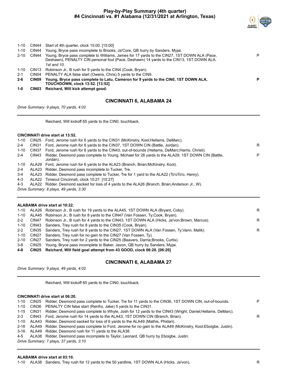## **Play-by-Play Summary (4th quarter) #4 Cincinnati vs. #1 Alabama (12/31/2021 at Arlington, Texas)**



| $1 - 10$<br>$2 - 10$<br>1-10 | CIN44<br>CIN44<br>CIN13 | Young, Bryce pass incomplete to Brooks, Ja'Core, QB hurry by Sanders, Myjai.<br>Young, Bryce pass complete to Williams, James for 17 yards to the CIN27, 1ST DOWN ALA (Pace,<br>Deshawn), PENALTY CIN personal foul (Pace, Deshawn) 14 yards to the CIN13, 1ST DOWN ALA.<br>1st and 10.<br>Robinson Jr., B rush for 9 yards to the CIN4 (Cook, Bryan). | P |
|------------------------------|-------------------------|--------------------------------------------------------------------------------------------------------------------------------------------------------------------------------------------------------------------------------------------------------------------------------------------------------------------------------------------------------|---|
| $2 - 1$                      | CIN04                   | PENALTY ALA false start (Owens, Chris) 5 yards to the CIN9.                                                                                                                                                                                                                                                                                            |   |
| $2 - 6$                      | CIN <sub>09</sub>       | Young, Bryce pass complete to Latu, Cameron for 9 yards to the CIN0, 1ST DOWN ALA,<br><b>TOUCHDOWN, clock 13:52. [13:52]</b>                                                                                                                                                                                                                           | P |
| $1 - 0$                      | CIN03                   | Reichard, Will kick attempt good.                                                                                                                                                                                                                                                                                                                      |   |

## **CINCINNATI 6, ALABAMA 24**

*Drive Summary: 9 plays, 70 yards, 4:02*

Reichard, Will kickoff 65 yards to the CIN0, touchback.

#### **CINCINNATI drive start at 13:52.**

| 1-10     |       | CIN25 Ford, Jerome rush for 6 yards to the CIN31 (McKinstry, Kool; Hellams, DeMarc).                         |   |
|----------|-------|--------------------------------------------------------------------------------------------------------------|---|
| $2 - 4$  | CIN31 | Ford, Jerome rush for 6 yards to the CIN37, 1ST DOWN CIN (Battle, Jordan).                                   | R |
| $1 - 10$ | CIN37 | Ford, Jerome rush for 6 yards to the CIN43, out-of-bounds (Hellams, DeMarc; Harris, Christi).                |   |
| $2 - 4$  | CIN43 | Ridder, Desmond pass complete to Young, Michael for 28 yards to the ALA29, 1ST DOWN CIN (Battle,<br>Jordan). | P |
| 1-10     |       | ALA29 Ford, Jerome rush for 6 yards to the ALA23 (Branch, Brian; McKinstry, Kool).                           |   |
| $2 - 4$  |       | ALA23 Ridder, Desmond pass incomplete to Tucker, Tre.                                                        |   |
| 3-4      |       | ALA23 Ridder, Desmond pass complete to Tucker, Tre for 1 yard to the ALA22 (To'oTo'o, Henry).                |   |
| 4-3      |       | ALA22 Timeout Cincinnati, clock 10:27. [10:27]                                                               |   |
| 4-3      |       | ALA22 Ridder, Desmond sacked for loss of 4 yards to the ALA26 (Branch, Brian; Anderson Jr., W).              |   |
|          |       | Drive Summary: 8 plays, 49 yards, 3:30                                                                       |   |
|          |       |                                                                                                              |   |

| ALABAMA drive start at 10:22. |  |                                                                                                      |   |  |  |  |  |  |
|-------------------------------|--|------------------------------------------------------------------------------------------------------|---|--|--|--|--|--|
|                               |  | 1-10 ALA26 Robinson Jr., B rush for 19 yards to the ALA45, 1ST DOWN ALA (Bryant, Coby).              | R |  |  |  |  |  |
|                               |  | 1-10 ALA45 Robinson Jr., B rush for 8 yards to the CIN47 (Van Fossen, Ty;Cook, Bryan).               |   |  |  |  |  |  |
|                               |  | 2-2 CIN47 Robinson Jr., B rush for 4 yards to the CIN43, 1ST DOWN ALA (Hicks, Ja'von:Brown, Marcus). | R |  |  |  |  |  |
|                               |  | 1-10 CIN43 Sanders, Trey rush for 8 yards to the CIN35 (Cook, Bryan).                                |   |  |  |  |  |  |
|                               |  | 2-2 CIN35 Sanders, Trey rush for 8 yards to the CIN27, 1ST DOWN ALA (Van Fossen, Ty; Vann, Malik).   | R |  |  |  |  |  |
|                               |  | 1-10 CIN27 Sanders. Trey rush for no gain to the CIN27 (Van Fossen, Ty).                             |   |  |  |  |  |  |
| $2 - 10$                      |  | CIN27 Sanders, Trey rush for 2 yards to the CIN25 (Beavers, Darria; Brooks, Curtis).                 |   |  |  |  |  |  |
| 3-8                           |  | CIN25 Young, Bryce pass incomplete to Baker, Javon, QB hurry by Sanders, Myjai.                      |   |  |  |  |  |  |

**4-8 CIN25 Reichard, Will field goal attempt from 43 GOOD, clock 06:20. [06:20]**

## **CINCINNATI 6, ALABAMA 27**

*Drive Summary: 9 plays, 49 yards, 4:02*

Reichard, Will kickoff 65 yards to the CIN0, touchback.

## **CINCINNATI drive start at 06:20.**

| 1-10    | CIN25 Ridder, Desmond pass complete to Tucker, Tre for 11 yards to the CIN36, 1ST DOWN CIN, out-of-bounds.            | P |
|---------|-----------------------------------------------------------------------------------------------------------------------|---|
| 1-10    | CIN36 PENALTY CIN false start (Renfro, Jake) 5 yards to the CIN31.                                                    |   |
|         | 1-15 CIN31 Ridder, Desmond pass complete to Whyle, Josh for 12 yards to the CIN43 (Wright, Daniel; Hellams, DeMarc).  |   |
| $2 - 3$ | CIN43 Ford, Jerome rush for 14 yards to the ALA43, 1ST DOWN CIN (Branch, Brian).                                      | R |
|         | 1-10 ALA43 Ridder, Desmond sacked for loss of 6 yards to the ALA49 (Mathis, Phidari).                                 |   |
|         | 2-16 ALA49 Ridder, Desmond pass complete to Ford, Jerome for no gain to the ALA49 (McKinstry, Kool; Eboigbe, Justin). |   |
|         | 3-16 ALA49 Ridder, Desmond rush for 11 yards to the ALA38.                                                            |   |
|         | 4-5 ALA38 Ridder, Desmond pass incomplete to Taylor, Leonard, QB hurry by Eboigbe, Justin.                            |   |
|         |                                                                                                                       |   |

*Drive Summary: 7 plays, 37 yards, 3:10*

#### **ALABAMA drive start at 03:10.**

1-10 ALA38 Sanders, Trey rush for 12 yards to the 50 yardline, 1ST DOWN ALA (Hicks, Ja'von). R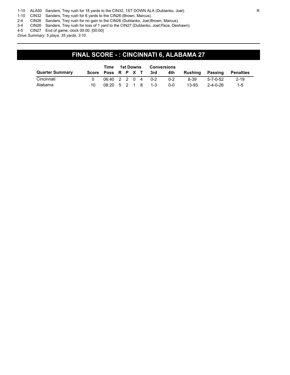1-10 ALA50 Sanders, Trey rush for 18 yards to the CIN32, 1ST DOWN ALA (Dublanko, Joel). R

1-10 CIN32 Sanders, Trey rush for 6 yards to the CIN26 (Brown, Marcus).

2-4 CIN26 Sanders, Trey rush for no gain to the CIN26 (Dublanko, Joel;Brown, Marcus).

3-4 CIN26 Sanders, Trey rush for loss of 1 yard to the CIN27 (Dublanko, Joel;Pace, Deshawn).

4-5 CIN27 End of game, clock 00:00. [00:00]

*Drive Summary: 5 plays, 35 yards, 3:10*

## **FINAL SCORE - : CINCINNATI 6, ALABAMA 27**

|                        |                    | Time 1st Downs |  | Conversions |         |         |         |                  |           |
|------------------------|--------------------|----------------|--|-------------|---------|---------|---------|------------------|-----------|
| <b>Quarter Summary</b> | Score Poss R P X T |                |  |             | 3rd     | 4th     | Rushina | Passing          | Penalties |
| Cincinnati             | 06:40 2 2 0 4      |                |  |             | $0 - 2$ | $0 - 2$ | 8-39    | 5-7-0-52         | $2 - 19$  |
| Alabama                | 08:20 5 2 1 8      |                |  |             | $1 - 3$ | 0-0     | 13-93   | $2 - 4 - 0 - 26$ | $1 - 5$   |